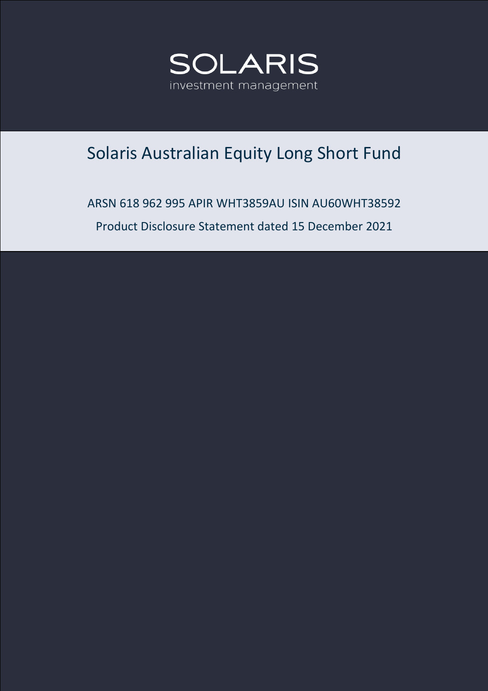

# Solaris Australian Equity Long Short Fund

ARSN 618 962 995 APIR WHT3859AU ISIN AU60WHT38592 Product Disclosure Statement dated 15 December 2021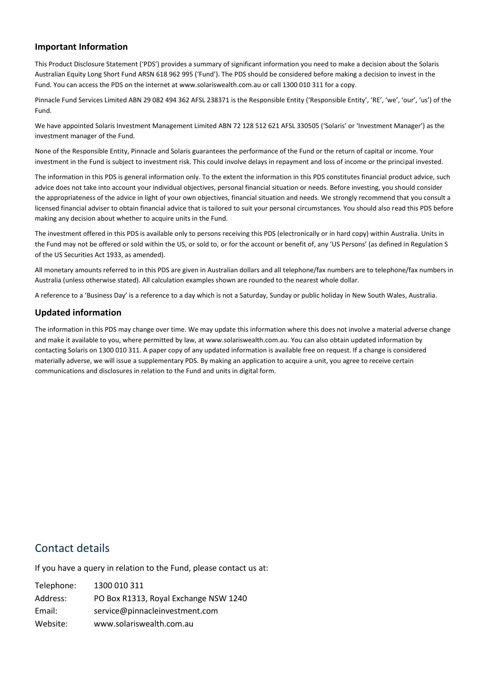#### **Important Information**

This Product Disclosure Statement ('PDS') provides a summary of significant information you need to make a decision about the Solaris Australian Equity Long Short Fund ARSN 618 962 995 ('Fund'). The PDS should be considered before making a decision to invest in the Fund. You can access the PDS on the internet at www.solariswealth.com.au or call 1300 010 311 for a copy.

Pinnacle Fund Services Limited ABN 29 082 494 362 AFSL 238371 is the Responsible Entity ('Responsible Entity', 'RE', 'we', 'our', 'us') of the Fund.

We have appointed Solaris Investment Management Limited ABN 72 128 512 621 AFSL 330505 ('Solaris' or 'Investment Manager') as the investment manager of the Fund.

None of the Responsible Entity, Pinnacle and Solaris guarantees the performance of the Fund or the return of capital or income. Your investment in the Fund is subject to investment risk. This could involve delays in repayment and loss of income or the principal invested.

The information in this PDS is general information only. To the extent the information in this PDS constitutes financial product advice, such advice does not take into account your individual objectives, personal financial situation or needs. Before investing, you should consider the appropriateness of the advice in light of your own objectives, financial situation and needs. We strongly recommend that you consult a licensed financial adviser to obtain financial advice that is tailored to suit your personal circumstances. You should also read this PDS before making any decision about whether to acquire units in the Fund.

The investment offered in this PDS is available only to persons receiving this PDS (electronically or in hard copy) within Australia. Units in the Fund may not be offered or sold within the US, or sold to, or for the account or benefit of, any 'US Persons' (as defined in Regulation S of the US Securities Act 1933, as amended).

All monetary amounts referred to in this PDS are given in Australian dollars and all telephone/fax numbers are to telephone/fax numbers in Australia (unless otherwise stated). All calculation examples shown are rounded to the nearest whole dollar.

A reference to a 'Business Day' is a reference to a day which is not a Saturday, Sunday or public holiday in New South Wales, Australia.

### **Updated information**

The information in this PDS may change over time. We may update this information where this does not involve a material adverse change and make it available to you, where permitted by law, at www.solariswealth.com.au. You can also obtain updated information by contacting Solaris on 1300 010 311. A paper copy of any updated information is available free on request. If a change is considered materially adverse, we will issue a supplementary PDS. By making an application to acquire a unit, you agree to receive certain communications and disclosures in relation to the Fund and units in digital form.

### Contact details

If you have a query in relation to the Fund, please contact us at:

| Telephone: | 1300 010 311                          |
|------------|---------------------------------------|
| Address:   | PO Box R1313, Royal Exchange NSW 1240 |
| Email:     | service@pinnacleinvestment.com        |
| Website:   | www.solariswealth.com.au              |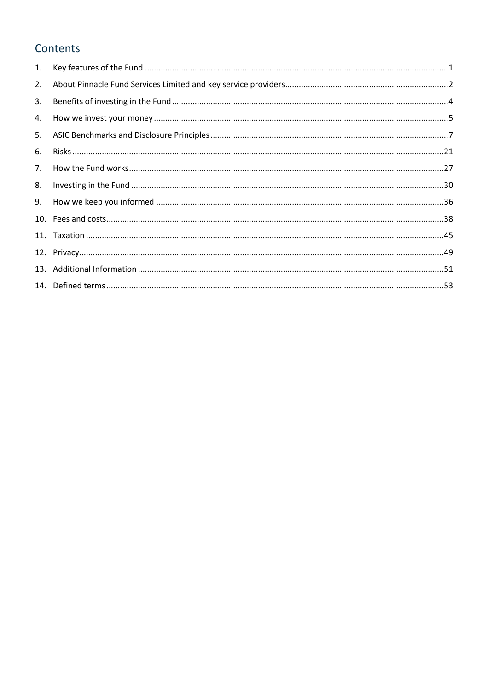# Contents

| 2.             |  |
|----------------|--|
| 3.             |  |
| 4.             |  |
|                |  |
| 6.             |  |
| 7 <sub>1</sub> |  |
| 8.             |  |
| 9.             |  |
|                |  |
|                |  |
|                |  |
|                |  |
|                |  |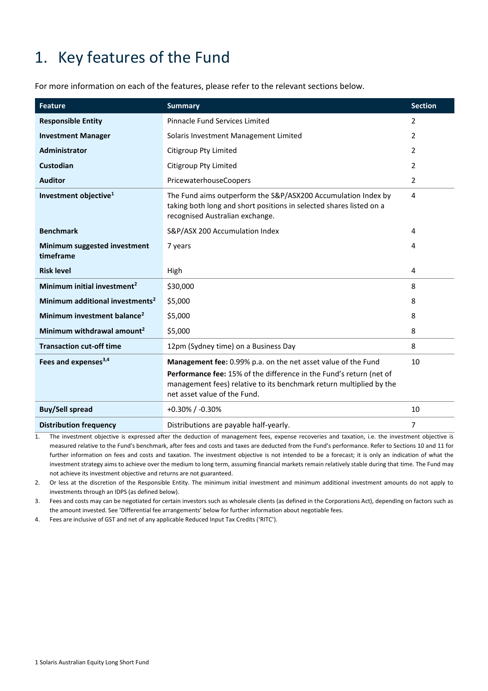# <span id="page-3-0"></span>1. Key features of the Fund

For more information on each of the features, please refer to the relevant sections below.

| <b>Feature</b>                              | <b>Summary</b>                                                                                                                                                             | <b>Section</b> |
|---------------------------------------------|----------------------------------------------------------------------------------------------------------------------------------------------------------------------------|----------------|
| <b>Responsible Entity</b>                   | <b>Pinnacle Fund Services Limited</b>                                                                                                                                      | 2              |
| <b>Investment Manager</b>                   | Solaris Investment Management Limited                                                                                                                                      | $\overline{2}$ |
| Administrator                               | <b>Citigroup Pty Limited</b>                                                                                                                                               | 2              |
| Custodian                                   | <b>Citigroup Pty Limited</b>                                                                                                                                               | 2              |
| <b>Auditor</b>                              | PricewaterhouseCoopers                                                                                                                                                     | 2              |
| Investment objective <sup>1</sup>           | The Fund aims outperform the S&P/ASX200 Accumulation Index by<br>taking both long and short positions in selected shares listed on a<br>recognised Australian exchange.    | 4              |
| <b>Benchmark</b>                            | S&P/ASX 200 Accumulation Index                                                                                                                                             | 4              |
| Minimum suggested investment<br>timeframe   | 7 years                                                                                                                                                                    | 4              |
| <b>Risk level</b>                           | High                                                                                                                                                                       | 4              |
| Minimum initial investment <sup>2</sup>     | \$30,000                                                                                                                                                                   | 8              |
| Minimum additional investments <sup>2</sup> | \$5,000                                                                                                                                                                    | 8              |
| Minimum investment balance <sup>2</sup>     | \$5,000                                                                                                                                                                    | 8              |
| Minimum withdrawal amount <sup>2</sup>      | \$5,000                                                                                                                                                                    | 8              |
| <b>Transaction cut-off time</b>             | 12pm (Sydney time) on a Business Day                                                                                                                                       | 8              |
| Fees and expenses <sup>3,4</sup>            | Management fee: 0.99% p.a. on the net asset value of the Fund                                                                                                              | 10             |
|                                             | Performance fee: 15% of the difference in the Fund's return (net of<br>management fees) relative to its benchmark return multiplied by the<br>net asset value of the Fund. |                |
| <b>Buy/Sell spread</b>                      | $+0.30\%$ / -0.30%                                                                                                                                                         | 10             |
| <b>Distribution frequency</b>               | Distributions are payable half-yearly.                                                                                                                                     | 7              |

1. The investment objective is expressed after the deduction of management fees, expense recoveries and taxation, i.e. the investment objective is measured relative to the Fund's benchmark, after fees and costs and taxes are deducted from the Fund's performance. Refer to Sections 10 and 11 for further information on fees and costs and taxation. The investment objective is not intended to be a forecast; it is only an indication of what the investment strategy aims to achieve over the medium to long term, assuming financial markets remain relatively stable during that time. The Fund may not achieve its investment objective and returns are not guaranteed.

2. Or less at the discretion of the Responsible Entity. The minimum initial investment and minimum additional investment amounts do not apply to investments through an IDPS (as defined below).

3. Fees and costs may can be negotiated for certain investors such as wholesale clients (as defined in the Corporations Act), depending on factors such as the amount invested. See 'Differential fee arrangements' below for further information about negotiable fees.

4. Fees are inclusive of GST and net of any applicable Reduced Input Tax Credits ('RITC').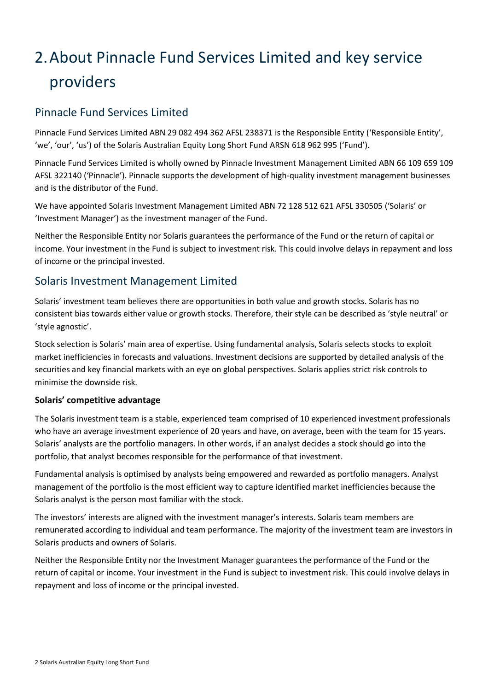# <span id="page-4-0"></span>2.About Pinnacle Fund Services Limited and key service providers

## Pinnacle Fund Services Limited

Pinnacle Fund Services Limited ABN 29 082 494 362 AFSL 238371 is the Responsible Entity ('Responsible Entity', 'we', 'our', 'us') of the Solaris Australian Equity Long Short Fund ARSN 618 962 995 ('Fund').

Pinnacle Fund Services Limited is wholly owned by Pinnacle Investment Management Limited ABN 66 109 659 109 AFSL 322140 ('Pinnacle'). Pinnacle supports the development of high-quality investment management businesses and is the distributor of the Fund.

We have appointed Solaris Investment Management Limited ABN 72 128 512 621 AFSL 330505 ('Solaris' or 'Investment Manager') as the investment manager of the Fund.

Neither the Responsible Entity nor Solaris guarantees the performance of the Fund or the return of capital or income. Your investment in the Fund is subject to investment risk. This could involve delays in repayment and loss of income or the principal invested.

# Solaris Investment Management Limited

Solaris' investment team believes there are opportunities in both value and growth stocks. Solaris has no consistent bias towards either value or growth stocks. Therefore, their style can be described as 'style neutral' or 'style agnostic'.

Stock selection is Solaris' main area of expertise. Using fundamental analysis, Solaris selects stocks to exploit market inefficiencies in forecasts and valuations. Investment decisions are supported by detailed analysis of the securities and key financial markets with an eye on global perspectives. Solaris applies strict risk controls to minimise the downside risk.

### **Solaris' competitive advantage**

The Solaris investment team is a stable, experienced team comprised of 10 experienced investment professionals who have an average investment experience of 20 years and have, on average, been with the team for 15 years. Solaris' analysts are the portfolio managers. In other words, if an analyst decides a stock should go into the portfolio, that analyst becomes responsible for the performance of that investment.

Fundamental analysis is optimised by analysts being empowered and rewarded as portfolio managers. Analyst management of the portfolio is the most efficient way to capture identified market inefficiencies because the Solaris analyst is the person most familiar with the stock.

The investors' interests are aligned with the investment manager's interests. Solaris team members are remunerated according to individual and team performance. The majority of the investment team are investors in Solaris products and owners of Solaris.

Neither the Responsible Entity nor the Investment Manager guarantees the performance of the Fund or the return of capital or income. Your investment in the Fund is subject to investment risk. This could involve delays in repayment and loss of income or the principal invested.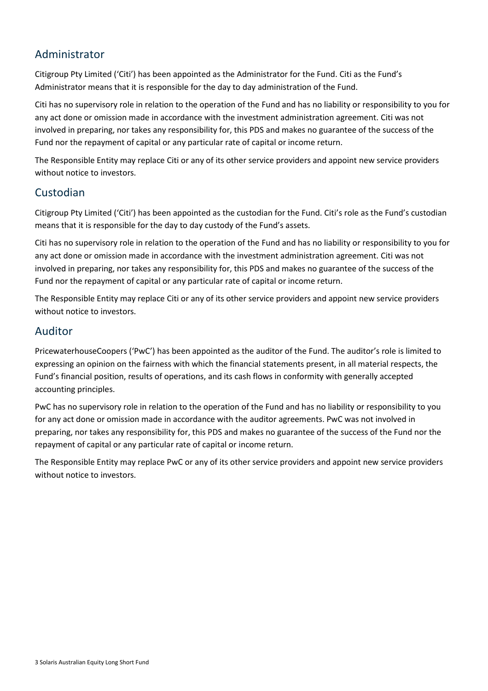# Administrator

Citigroup Pty Limited ('Citi') has been appointed as the Administrator for the Fund. Citi as the Fund's Administrator means that it is responsible for the day to day administration of the Fund.

Citi has no supervisory role in relation to the operation of the Fund and has no liability or responsibility to you for any act done or omission made in accordance with the investment administration agreement. Citi was not involved in preparing, nor takes any responsibility for, this PDS and makes no guarantee of the success of the Fund nor the repayment of capital or any particular rate of capital or income return.

The Responsible Entity may replace Citi or any of its other service providers and appoint new service providers without notice to investors.

### Custodian

Citigroup Pty Limited ('Citi') has been appointed as the custodian for the Fund. Citi's role as the Fund's custodian means that it is responsible for the day to day custody of the Fund's assets.

Citi has no supervisory role in relation to the operation of the Fund and has no liability or responsibility to you for any act done or omission made in accordance with the investment administration agreement. Citi was not involved in preparing, nor takes any responsibility for, this PDS and makes no guarantee of the success of the Fund nor the repayment of capital or any particular rate of capital or income return.

The Responsible Entity may replace Citi or any of its other service providers and appoint new service providers without notice to investors.

### Auditor

PricewaterhouseCoopers ('PwC') has been appointed as the auditor of the Fund. The auditor's role is limited to expressing an opinion on the fairness with which the financial statements present, in all material respects, the Fund's financial position, results of operations, and its cash flows in conformity with generally accepted accounting principles.

PwC has no supervisory role in relation to the operation of the Fund and has no liability or responsibility to you for any act done or omission made in accordance with the auditor agreements. PwC was not involved in preparing, nor takes any responsibility for, this PDS and makes no guarantee of the success of the Fund nor the repayment of capital or any particular rate of capital or income return.

The Responsible Entity may replace PwC or any of its other service providers and appoint new service providers without notice to investors.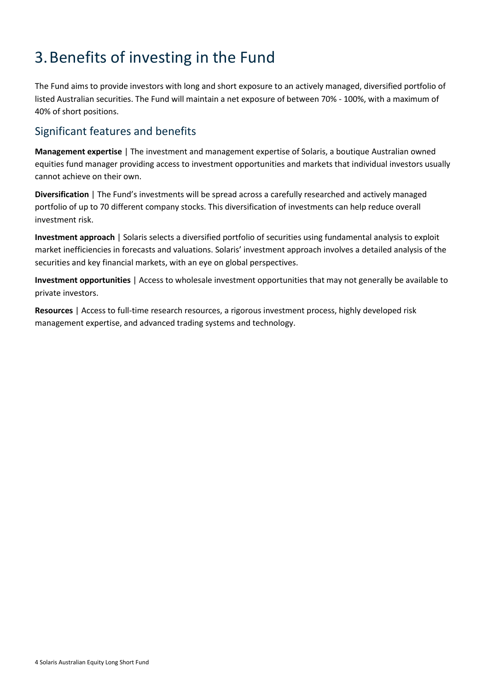# <span id="page-6-0"></span>3.Benefits of investing in the Fund

The Fund aims to provide investors with long and short exposure to an actively managed, diversified portfolio of listed Australian securities. The Fund will maintain a net exposure of between 70% - 100%, with a maximum of 40% of short positions.

# Significant features and benefits

**Management expertise** | The investment and management expertise of Solaris, a boutique Australian owned equities fund manager providing access to investment opportunities and markets that individual investors usually cannot achieve on their own.

**Diversification** | The Fund's investments will be spread across a carefully researched and actively managed portfolio of up to 70 different company stocks. This diversification of investments can help reduce overall investment risk.

**Investment approach** | Solaris selects a diversified portfolio of securities using fundamental analysis to exploit market inefficiencies in forecasts and valuations. Solaris' investment approach involves a detailed analysis of the securities and key financial markets, with an eye on global perspectives.

**Investment opportunities** | Access to wholesale investment opportunities that may not generally be available to private investors.

**Resources** | Access to full-time research resources, a rigorous investment process, highly developed risk management expertise, and advanced trading systems and technology.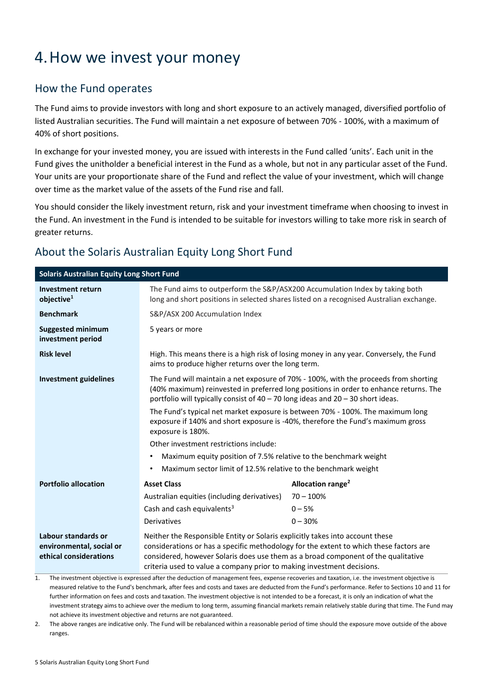# <span id="page-7-0"></span>4.How we invest your money

## How the Fund operates

The Fund aims to provide investors with long and short exposure to an actively managed, diversified portfolio of listed Australian securities. The Fund will maintain a net exposure of between 70% - 100%, with a maximum of 40% of short positions.

In exchange for your invested money, you are issued with interests in the Fund called 'units'. Each unit in the Fund gives the unitholder a beneficial interest in the Fund as a whole, but not in any particular asset of the Fund. Your units are your proportionate share of the Fund and reflect the value of your investment, which will change over time as the market value of the assets of the Fund rise and fall.

You should consider the likely investment return, risk and your investment timeframe when choosing to invest in the Fund. An investment in the Fund is intended to be suitable for investors willing to take more risk in search of greater returns.

# About the Solaris Australian Equity Long Short Fund

| <b>Solaris Australian Equity Long Short Fund</b>                          |                                                                                                                                                                                                                                                                                                                                        |                                                                                         |  |  |  |
|---------------------------------------------------------------------------|----------------------------------------------------------------------------------------------------------------------------------------------------------------------------------------------------------------------------------------------------------------------------------------------------------------------------------------|-----------------------------------------------------------------------------------------|--|--|--|
| <b>Investment return</b><br>objective <sup>1</sup>                        | The Fund aims to outperform the S&P/ASX200 Accumulation Index by taking both<br>long and short positions in selected shares listed on a recognised Australian exchange.                                                                                                                                                                |                                                                                         |  |  |  |
| <b>Benchmark</b>                                                          | S&P/ASX 200 Accumulation Index                                                                                                                                                                                                                                                                                                         |                                                                                         |  |  |  |
| <b>Suggested minimum</b><br>investment period                             | 5 years or more                                                                                                                                                                                                                                                                                                                        |                                                                                         |  |  |  |
| <b>Risk level</b>                                                         | aims to produce higher returns over the long term.                                                                                                                                                                                                                                                                                     | High. This means there is a high risk of losing money in any year. Conversely, the Fund |  |  |  |
| <b>Investment guidelines</b>                                              | The Fund will maintain a net exposure of 70% - 100%, with the proceeds from shorting<br>(40% maximum) reinvested in preferred long positions in order to enhance returns. The<br>portfolio will typically consist of $40 - 70$ long ideas and $20 - 30$ short ideas.                                                                   |                                                                                         |  |  |  |
|                                                                           | The Fund's typical net market exposure is between 70% - 100%. The maximum long<br>exposure if 140% and short exposure is -40%, therefore the Fund's maximum gross<br>exposure is 180%.                                                                                                                                                 |                                                                                         |  |  |  |
|                                                                           | Other investment restrictions include:                                                                                                                                                                                                                                                                                                 |                                                                                         |  |  |  |
|                                                                           | Maximum equity position of 7.5% relative to the benchmark weight                                                                                                                                                                                                                                                                       |                                                                                         |  |  |  |
|                                                                           | Maximum sector limit of 12.5% relative to the benchmark weight<br>٠                                                                                                                                                                                                                                                                    |                                                                                         |  |  |  |
| <b>Portfolio allocation</b>                                               | <b>Asset Class</b>                                                                                                                                                                                                                                                                                                                     | Allocation range <sup>2</sup>                                                           |  |  |  |
|                                                                           | Australian equities (including derivatives)                                                                                                                                                                                                                                                                                            | $70 - 100%$                                                                             |  |  |  |
|                                                                           | Cash and cash equivalents <sup>3</sup><br>$0 - 5%$                                                                                                                                                                                                                                                                                     |                                                                                         |  |  |  |
|                                                                           | $0 - 30%$<br><b>Derivatives</b>                                                                                                                                                                                                                                                                                                        |                                                                                         |  |  |  |
| Labour standards or<br>environmental, social or<br>ethical considerations | Neither the Responsible Entity or Solaris explicitly takes into account these<br>considerations or has a specific methodology for the extent to which these factors are<br>considered, however Solaris does use them as a broad component of the qualitative<br>criteria used to value a company prior to making investment decisions. |                                                                                         |  |  |  |

1. The investment objective is expressed after the deduction of management fees, expense recoveries and taxation, i.e. the investment objective is measured relative to the Fund's benchmark, after fees and costs and taxes are deducted from the Fund's performance. Refer to Sections [10](#page-39-0) an[d 11](#page-47-0) for further information on fees and costs and taxation. The investment objective is not intended to be a forecast, it is only an indication of what the investment strategy aims to achieve over the medium to long term, assuming financial markets remain relatively stable during that time. The Fund may not achieve its investment objective and returns are not guaranteed.

2. The above ranges are indicative only. The Fund will be rebalanced within a reasonable period of time should the exposure move outside of the above ranges.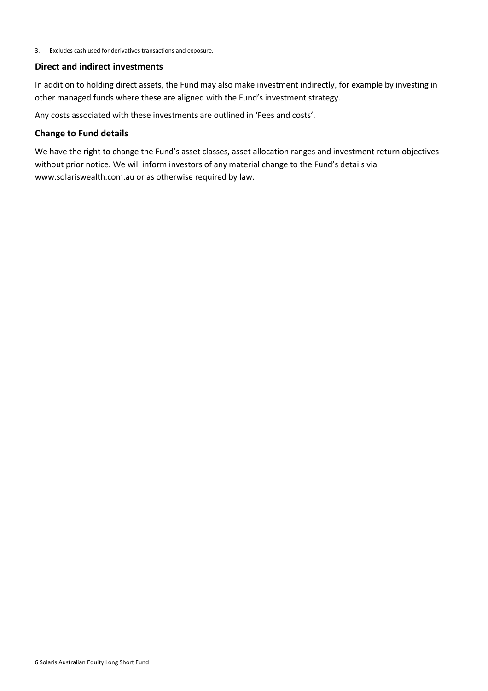3. Excludes cash used for derivatives transactions and exposure.

#### **Direct and indirect investments**

In addition to holding direct assets, the Fund may also make investment indirectly, for example by investing in other managed funds where these are aligned with the Fund's investment strategy.

Any costs associated with these investments are outlined in 'Fees and costs'.

#### **Change to Fund details**

We have the right to change the Fund's asset classes, asset allocation ranges and investment return objectives without prior notice. We will inform investors of any material change to the Fund's details via www.solariswealth.com.au or as otherwise required by law.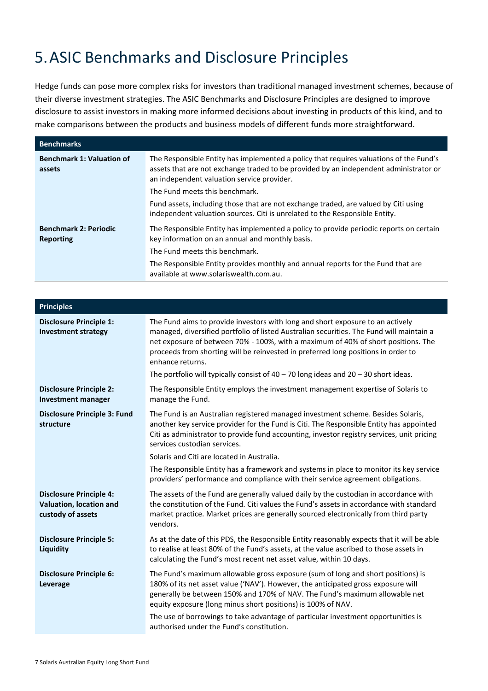# <span id="page-9-0"></span>5.ASIC Benchmarks and Disclosure Principles

Hedge funds can pose more complex risks for investors than traditional managed investment schemes, because of their diverse investment strategies. The ASIC Benchmarks and Disclosure Principles are designed to improve disclosure to assist investors in making more informed decisions about investing in products of this kind, and to make comparisons between the products and business models of different funds more straightforward.

| <b>Benchmarks</b>                          |                                                                                                                                                                                                                               |
|--------------------------------------------|-------------------------------------------------------------------------------------------------------------------------------------------------------------------------------------------------------------------------------|
| <b>Benchmark 1: Valuation of</b><br>assets | The Responsible Entity has implemented a policy that requires valuations of the Fund's<br>assets that are not exchange traded to be provided by an independent administrator or<br>an independent valuation service provider. |
|                                            | The Fund meets this benchmark.                                                                                                                                                                                                |
|                                            | Fund assets, including those that are not exchange traded, are valued by Citi using<br>independent valuation sources. Citi is unrelated to the Responsible Entity.                                                            |
| <b>Benchmark 2: Periodic</b><br>Reporting  | The Responsible Entity has implemented a policy to provide periodic reports on certain<br>key information on an annual and monthly basis.                                                                                     |
|                                            | The Fund meets this benchmark.                                                                                                                                                                                                |
|                                            | The Responsible Entity provides monthly and annual reports for the Fund that are<br>available at www.solariswealth.com.au.                                                                                                    |

| The Fund aims to provide investors with long and short exposure to an actively<br>managed, diversified portfolio of listed Australian securities. The Fund will maintain a<br>net exposure of between 70% - 100%, with a maximum of 40% of short positions. The<br>proceeds from shorting will be reinvested in preferred long positions in order to<br>The portfolio will typically consist of $40 - 70$ long ideas and $20 - 30$ short ideas. |
|-------------------------------------------------------------------------------------------------------------------------------------------------------------------------------------------------------------------------------------------------------------------------------------------------------------------------------------------------------------------------------------------------------------------------------------------------|
| The Responsible Entity employs the investment management expertise of Solaris to                                                                                                                                                                                                                                                                                                                                                                |
| The Fund is an Australian registered managed investment scheme. Besides Solaris,<br>another key service provider for the Fund is Citi. The Responsible Entity has appointed<br>Citi as administrator to provide fund accounting, investor registry services, unit pricing                                                                                                                                                                       |
|                                                                                                                                                                                                                                                                                                                                                                                                                                                 |
| The Responsible Entity has a framework and systems in place to monitor its key service<br>providers' performance and compliance with their service agreement obligations.                                                                                                                                                                                                                                                                       |
| The assets of the Fund are generally valued daily by the custodian in accordance with<br>the constitution of the Fund. Citi values the Fund's assets in accordance with standard<br>market practice. Market prices are generally sourced electronically from third party                                                                                                                                                                        |
| As at the date of this PDS, the Responsible Entity reasonably expects that it will be able<br>to realise at least 80% of the Fund's assets, at the value ascribed to those assets in                                                                                                                                                                                                                                                            |
| The Fund's maximum allowable gross exposure (sum of long and short positions) is<br>180% of its net asset value ('NAV'). However, the anticipated gross exposure will<br>generally be between 150% and 170% of NAV. The Fund's maximum allowable net<br>The use of borrowings to take advantage of particular investment opportunities is                                                                                                       |
|                                                                                                                                                                                                                                                                                                                                                                                                                                                 |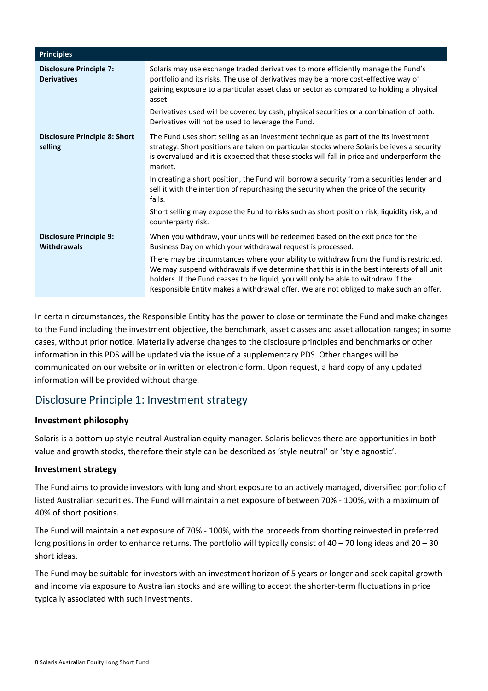| <b>Principles</b>                                    |                                                                                                                                                                                                                                                                                                                                                                     |
|------------------------------------------------------|---------------------------------------------------------------------------------------------------------------------------------------------------------------------------------------------------------------------------------------------------------------------------------------------------------------------------------------------------------------------|
| <b>Disclosure Principle 7:</b><br><b>Derivatives</b> | Solaris may use exchange traded derivatives to more efficiently manage the Fund's<br>portfolio and its risks. The use of derivatives may be a more cost-effective way of<br>gaining exposure to a particular asset class or sector as compared to holding a physical<br>asset.                                                                                      |
|                                                      | Derivatives used will be covered by cash, physical securities or a combination of both.<br>Derivatives will not be used to leverage the Fund.                                                                                                                                                                                                                       |
| <b>Disclosure Principle 8: Short</b><br>selling      | The Fund uses short selling as an investment technique as part of the its investment<br>strategy. Short positions are taken on particular stocks where Solaris believes a security<br>is overvalued and it is expected that these stocks will fall in price and underperform the<br>market.                                                                         |
|                                                      | In creating a short position, the Fund will borrow a security from a securities lender and<br>sell it with the intention of repurchasing the security when the price of the security<br>falls.                                                                                                                                                                      |
|                                                      | Short selling may expose the Fund to risks such as short position risk, liquidity risk, and<br>counterparty risk.                                                                                                                                                                                                                                                   |
| <b>Disclosure Principle 9:</b><br><b>Withdrawals</b> | When you withdraw, your units will be redeemed based on the exit price for the<br>Business Day on which your withdrawal request is processed.                                                                                                                                                                                                                       |
|                                                      | There may be circumstances where your ability to withdraw from the Fund is restricted.<br>We may suspend withdrawals if we determine that this is in the best interests of all unit<br>holders. If the Fund ceases to be liquid, you will only be able to withdraw if the<br>Responsible Entity makes a withdrawal offer. We are not obliged to make such an offer. |

In certain circumstances, the Responsible Entity has the power to close or terminate the Fund and make changes to the Fund including the investment objective, the benchmark, asset classes and asset allocation ranges; in some cases, without prior notice. Materially adverse changes to the disclosure principles and benchmarks or other information in this PDS will be updated via the issue of a supplementary PDS. Other changes will be communicated on our website or in written or electronic form. Upon request, a hard copy of any updated information will be provided without charge.

# Disclosure Principle 1: Investment strategy

### **Investment philosophy**

Solaris is a bottom up style neutral Australian equity manager. Solaris believes there are opportunities in both value and growth stocks, therefore their style can be described as 'style neutral' or 'style agnostic'.

### **Investment strategy**

The Fund aims to provide investors with long and short exposure to an actively managed, diversified portfolio of listed Australian securities. The Fund will maintain a net exposure of between 70% - 100%, with a maximum of 40% of short positions.

The Fund will maintain a net exposure of 70% - 100%, with the proceeds from shorting reinvested in preferred long positions in order to enhance returns. The portfolio will typically consist of 40 – 70 long ideas and 20 – 30 short ideas.

The Fund may be suitable for investors with an investment horizon of 5 years or longer and seek capital growth and income via exposure to Australian stocks and are willing to accept the shorter-term fluctuations in price typically associated with such investments.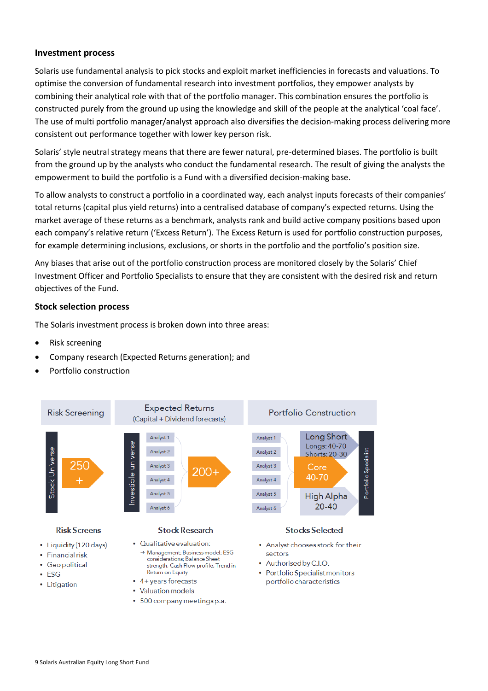#### **Investment process**

Solaris use fundamental analysis to pick stocks and exploit market inefficiencies in forecasts and valuations. To optimise the conversion of fundamental research into investment portfolios, they empower analysts by combining their analytical role with that of the portfolio manager. This combination ensures the portfolio is constructed purely from the ground up using the knowledge and skill of the people at the analytical 'coal face'. The use of multi portfolio manager/analyst approach also diversifies the decision-making process delivering more consistent out performance together with lower key person risk.

Solaris' style neutral strategy means that there are fewer natural, pre-determined biases. The portfolio is built from the ground up by the analysts who conduct the fundamental research. The result of giving the analysts the empowerment to build the portfolio is a Fund with a diversified decision-making base.

To allow analysts to construct a portfolio in a coordinated way, each analyst inputs forecasts of their companies' total returns (capital plus yield returns) into a centralised database of company's expected returns. Using the market average of these returns as a benchmark, analysts rank and build active company positions based upon each company's relative return ('Excess Return'). The Excess Return is used for portfolio construction purposes, for example determining inclusions, exclusions, or shorts in the portfolio and the portfolio's position size.

Any biases that arise out of the portfolio construction process are monitored closely by the Solaris' Chief Investment Officer and Portfolio Specialists to ensure that they are consistent with the desired risk and return objectives of the Fund.

#### **Stock selection process**

The Solaris investment process is broken down into three areas:

- Risk screening
- Company research (Expected Returns generation); and
- Portfolio construction



- $\cdot$  ESG
- Litigation

• 500 company meetings p.a.

• 4+ years forecasts

• Valuation models

• Portfolio Specialist monitors portfolio characteristics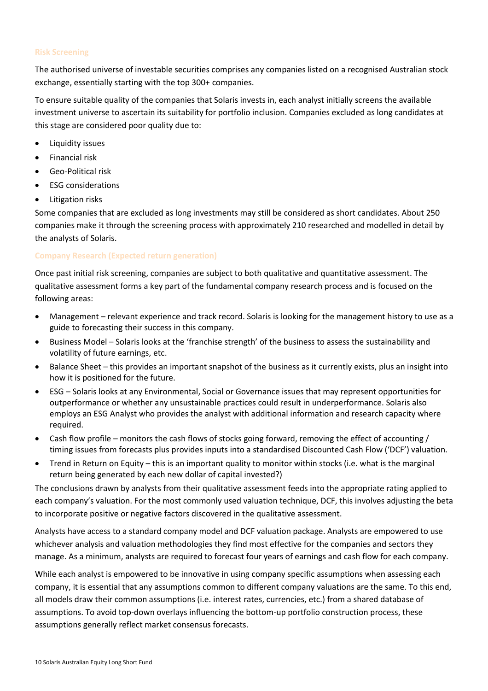#### **Risk Screening**

The authorised universe of investable securities comprises any companies listed on a recognised Australian stock exchange, essentially starting with the top 300+ companies.

To ensure suitable quality of the companies that Solaris invests in, each analyst initially screens the available investment universe to ascertain its suitability for portfolio inclusion. Companies excluded as long candidates at this stage are considered poor quality due to:

- Liquidity issues
- Financial risk
- Geo-Political risk
- ESG considerations
- Litigation risks

Some companies that are excluded as long investments may still be considered as short candidates. About 250 companies make it through the screening process with approximately 210 researched and modelled in detail by the analysts of Solaris.

#### **Company Research (Expected return generation)**

Once past initial risk screening, companies are subject to both qualitative and quantitative assessment. The qualitative assessment forms a key part of the fundamental company research process and is focused on the following areas:

- Management relevant experience and track record. Solaris is looking for the management history to use as a guide to forecasting their success in this company.
- Business Model Solaris looks at the 'franchise strength' of the business to assess the sustainability and volatility of future earnings, etc.
- Balance Sheet this provides an important snapshot of the business as it currently exists, plus an insight into how it is positioned for the future.
- ESG Solaris looks at any Environmental, Social or Governance issues that may represent opportunities for outperformance or whether any unsustainable practices could result in underperformance. Solaris also employs an ESG Analyst who provides the analyst with additional information and research capacity where required.
- Cash flow profile monitors the cash flows of stocks going forward, removing the effect of accounting / timing issues from forecasts plus provides inputs into a standardised Discounted Cash Flow ('DCF') valuation.
- Trend in Return on Equity this is an important quality to monitor within stocks (i.e. what is the marginal return being generated by each new dollar of capital invested?)

The conclusions drawn by analysts from their qualitative assessment feeds into the appropriate rating applied to each company's valuation. For the most commonly used valuation technique, DCF, this involves adjusting the beta to incorporate positive or negative factors discovered in the qualitative assessment.

Analysts have access to a standard company model and DCF valuation package. Analysts are empowered to use whichever analysis and valuation methodologies they find most effective for the companies and sectors they manage. As a minimum, analysts are required to forecast four years of earnings and cash flow for each company.

While each analyst is empowered to be innovative in using company specific assumptions when assessing each company, it is essential that any assumptions common to different company valuations are the same. To this end, all models draw their common assumptions (i.e. interest rates, currencies, etc.) from a shared database of assumptions. To avoid top-down overlays influencing the bottom-up portfolio construction process, these assumptions generally reflect market consensus forecasts.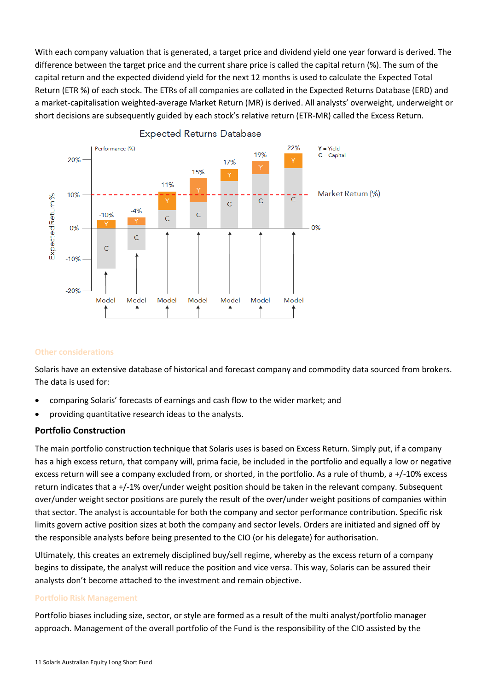With each company valuation that is generated, a target price and dividend yield one year forward is derived. The difference between the target price and the current share price is called the capital return (%). The sum of the capital return and the expected dividend yield for the next 12 months is used to calculate the Expected Total Return (ETR %) of each stock. The ETRs of all companies are collated in the Expected Returns Database (ERD) and a market-capitalisation weighted-average Market Return (MR) is derived. All analysts' overweight, underweight or short decisions are subsequently guided by each stock's relative return (ETR-MR) called the Excess Return.





#### **Other considerations**

Solaris have an extensive database of historical and forecast company and commodity data sourced from brokers. The data is used for:

- comparing Solaris' forecasts of earnings and cash flow to the wider market; and
- providing quantitative research ideas to the analysts.

#### **Portfolio Construction**

The main portfolio construction technique that Solaris uses is based on Excess Return. Simply put, if a company has a high excess return, that company will, prima facie, be included in the portfolio and equally a low or negative excess return will see a company excluded from, or shorted, in the portfolio. As a rule of thumb, a +/-10% excess return indicates that a +/-1% over/under weight position should be taken in the relevant company. Subsequent over/under weight sector positions are purely the result of the over/under weight positions of companies within that sector. The analyst is accountable for both the company and sector performance contribution. Specific risk limits govern active position sizes at both the company and sector levels. Orders are initiated and signed off by the responsible analysts before being presented to the CIO (or his delegate) for authorisation.

Ultimately, this creates an extremely disciplined buy/sell regime, whereby as the excess return of a company begins to dissipate, the analyst will reduce the position and vice versa. This way, Solaris can be assured their analysts don't become attached to the investment and remain objective.

#### **Portfolio Risk Management**

Portfolio biases including size, sector, or style are formed as a result of the multi analyst/portfolio manager approach. Management of the overall portfolio of the Fund is the responsibility of the CIO assisted by the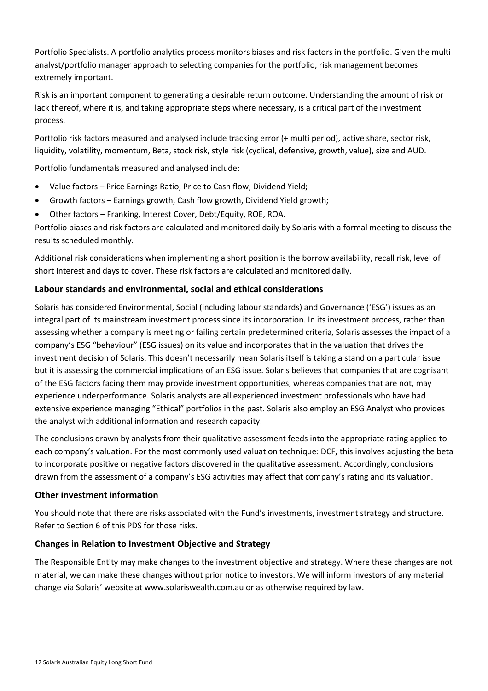Portfolio Specialists. A portfolio analytics process monitors biases and risk factors in the portfolio. Given the multi analyst/portfolio manager approach to selecting companies for the portfolio, risk management becomes extremely important.

Risk is an important component to generating a desirable return outcome. Understanding the amount of risk or lack thereof, where it is, and taking appropriate steps where necessary, is a critical part of the investment process.

Portfolio risk factors measured and analysed include tracking error (+ multi period), active share, sector risk, liquidity, volatility, momentum, Beta, stock risk, style risk (cyclical, defensive, growth, value), size and AUD.

Portfolio fundamentals measured and analysed include:

- Value factors Price Earnings Ratio, Price to Cash flow, Dividend Yield;
- Growth factors Earnings growth, Cash flow growth, Dividend Yield growth;
- Other factors Franking, Interest Cover, Debt/Equity, ROE, ROA.

Portfolio biases and risk factors are calculated and monitored daily by Solaris with a formal meeting to discuss the results scheduled monthly.

Additional risk considerations when implementing a short position is the borrow availability, recall risk, level of short interest and days to cover. These risk factors are calculated and monitored daily.

### **Labour standards and environmental, social and ethical considerations**

Solaris has considered Environmental, Social (including labour standards) and Governance ('ESG') issues as an integral part of its mainstream investment process since its incorporation. In its investment process, rather than assessing whether a company is meeting or failing certain predetermined criteria, Solaris assesses the impact of a company's ESG "behaviour" (ESG issues) on its value and incorporates that in the valuation that drives the investment decision of Solaris. This doesn't necessarily mean Solaris itself is taking a stand on a particular issue but it is assessing the commercial implications of an ESG issue. Solaris believes that companies that are cognisant of the ESG factors facing them may provide investment opportunities, whereas companies that are not, may experience underperformance. Solaris analysts are all experienced investment professionals who have had extensive experience managing "Ethical" portfolios in the past. Solaris also employ an ESG Analyst who provides the analyst with additional information and research capacity.

The conclusions drawn by analysts from their qualitative assessment feeds into the appropriate rating applied to each company's valuation. For the most commonly used valuation technique: DCF, this involves adjusting the beta to incorporate positive or negative factors discovered in the qualitative assessment. Accordingly, conclusions drawn from the assessment of a company's ESG activities may affect that company's rating and its valuation.

### **Other investment information**

You should note that there are risks associated with the Fund's investments, investment strategy and structure. Refer to Section 6 of this PDS for those risks.

### **Changes in Relation to Investment Objective and Strategy**

The Responsible Entity may make changes to the investment objective and strategy. Where these changes are not material, we can make these changes without prior notice to investors. We will inform investors of any material change via Solaris' website at www.solariswealth.com.au or as otherwise required by law.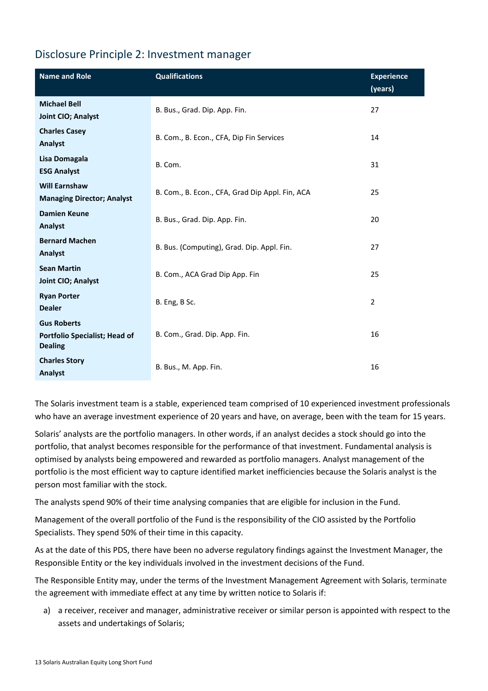## Disclosure Principle 2: Investment manager

| <b>Name and Role</b>                                                  | <b>Qualifications</b>                           | <b>Experience</b><br>(years) |
|-----------------------------------------------------------------------|-------------------------------------------------|------------------------------|
| <b>Michael Bell</b><br>Joint CIO; Analyst                             | B. Bus., Grad. Dip. App. Fin.                   | 27                           |
| <b>Charles Casey</b><br>Analyst                                       | B. Com., B. Econ., CFA, Dip Fin Services        | 14                           |
| Lisa Domagala<br><b>ESG Analyst</b>                                   | B. Com.                                         | 31                           |
| <b>Will Earnshaw</b><br><b>Managing Director; Analyst</b>             | B. Com., B. Econ., CFA, Grad Dip Appl. Fin, ACA | 25                           |
| <b>Damien Keune</b><br>Analyst                                        | B. Bus., Grad. Dip. App. Fin.                   | 20                           |
| <b>Bernard Machen</b><br>Analyst                                      | B. Bus. (Computing), Grad. Dip. Appl. Fin.      | 27                           |
| <b>Sean Martin</b><br>Joint CIO; Analyst                              | B. Com., ACA Grad Dip App. Fin                  | 25                           |
| <b>Ryan Porter</b><br><b>Dealer</b>                                   | B. Eng, B Sc.                                   | $\overline{2}$               |
| <b>Gus Roberts</b><br>Portfolio Specialist; Head of<br><b>Dealing</b> | B. Com., Grad. Dip. App. Fin.                   | 16                           |
| <b>Charles Story</b><br>Analyst                                       | B. Bus., M. App. Fin.                           | 16                           |

The Solaris investment team is a stable, experienced team comprised of 10 experienced investment professionals who have an average investment experience of 20 years and have, on average, been with the team for 15 years.

Solaris' analysts are the portfolio managers. In other words, if an analyst decides a stock should go into the portfolio, that analyst becomes responsible for the performance of that investment. Fundamental analysis is optimised by analysts being empowered and rewarded as portfolio managers. Analyst management of the portfolio is the most efficient way to capture identified market inefficiencies because the Solaris analyst is the person most familiar with the stock.

The analysts spend 90% of their time analysing companies that are eligible for inclusion in the Fund.

Management of the overall portfolio of the Fund is the responsibility of the CIO assisted by the Portfolio Specialists. They spend 50% of their time in this capacity.

As at the date of this PDS, there have been no adverse regulatory findings against the Investment Manager, the Responsible Entity or the key individuals involved in the investment decisions of the Fund.

The Responsible Entity may, under the terms of the Investment Management Agreement with Solaris, terminate the agreement with immediate effect at any time by written notice to Solaris if:

a) a receiver, receiver and manager, administrative receiver or similar person is appointed with respect to the assets and undertakings of Solaris;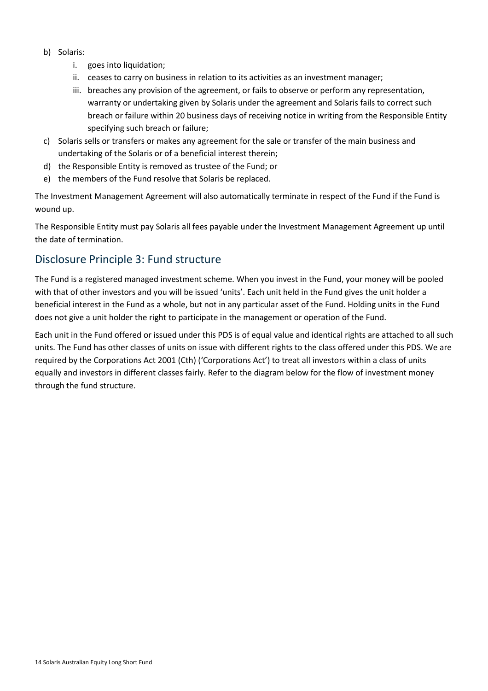- b) Solaris:
	- i. goes into liquidation;
	- ii. ceases to carry on business in relation to its activities as an investment manager;
	- iii. breaches any provision of the agreement, or fails to observe or perform any representation, warranty or undertaking given by Solaris under the agreement and Solaris fails to correct such breach or failure within 20 business days of receiving notice in writing from the Responsible Entity specifying such breach or failure;
- c) Solaris sells or transfers or makes any agreement for the sale or transfer of the main business and undertaking of the Solaris or of a beneficial interest therein;
- d) the Responsible Entity is removed as trustee of the Fund; or
- e) the members of the Fund resolve that Solaris be replaced.

The Investment Management Agreement will also automatically terminate in respect of the Fund if the Fund is wound up.

The Responsible Entity must pay Solaris all fees payable under the Investment Management Agreement up until the date of termination.

### Disclosure Principle 3: Fund structure

The Fund is a registered managed investment scheme. When you invest in the Fund, your money will be pooled with that of other investors and you will be issued 'units'. Each unit held in the Fund gives the unit holder a beneficial interest in the Fund as a whole, but not in any particular asset of the Fund. Holding units in the Fund does not give a unit holder the right to participate in the management or operation of the Fund.

Each unit in the Fund offered or issued under this PDS is of equal value and identical rights are attached to all such units. The Fund has other classes of units on issue with different rights to the class offered under this PDS. We are required by the Corporations Act 2001 (Cth) ('Corporations Act') to treat all investors within a class of units equally and investors in different classes fairly. Refer to the diagram below for the flow of investment money through the fund structure.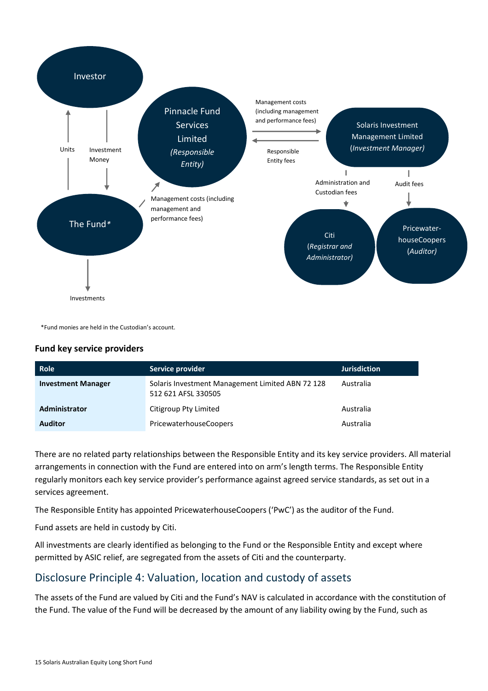

\*Fund monies are held in the Custodian's account.

#### **Fund key service providers**

| <b>Role</b>               | Service provider                                                        | <b>Jurisdiction</b> |
|---------------------------|-------------------------------------------------------------------------|---------------------|
| <b>Investment Manager</b> | Solaris Investment Management Limited ABN 72 128<br>512 621 AFSL 330505 | Australia           |
| Administrator             | Citigroup Pty Limited                                                   | Australia           |
| <b>Auditor</b>            | <b>PricewaterhouseCoopers</b>                                           | Australia           |

There are no related party relationships between the Responsible Entity and its key service providers. All material arrangements in connection with the Fund are entered into on arm's length terms. The Responsible Entity regularly monitors each key service provider's performance against agreed service standards, as set out in a services agreement.

The Responsible Entity has appointed PricewaterhouseCoopers ('PwC') as the auditor of the Fund.

Fund assets are held in custody by Citi.

All investments are clearly identified as belonging to the Fund or the Responsible Entity and except where permitted by ASIC relief, are segregated from the assets of Citi and the counterparty.

## Disclosure Principle 4: Valuation, location and custody of assets

The assets of the Fund are valued by Citi and the Fund's NAV is calculated in accordance with the constitution of the Fund. The value of the Fund will be decreased by the amount of any liability owing by the Fund, such as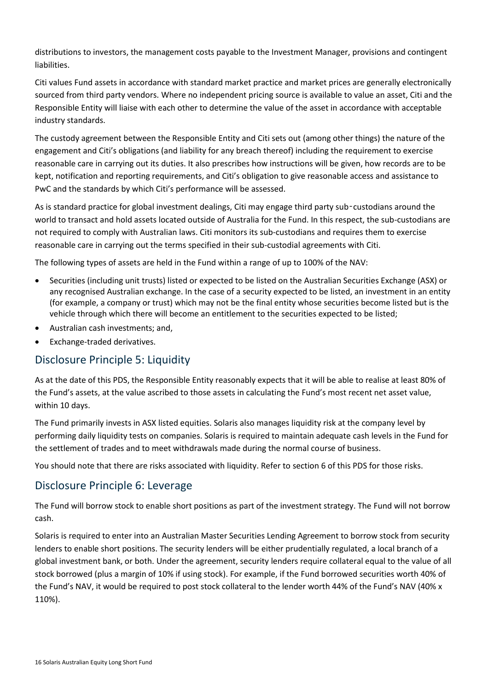distributions to investors, the management costs payable to the Investment Manager, provisions and contingent liabilities.

Citi values Fund assets in accordance with standard market practice and market prices are generally electronically sourced from third party vendors. Where no independent pricing source is available to value an asset, Citi and the Responsible Entity will liaise with each other to determine the value of the asset in accordance with acceptable industry standards.

The custody agreement between the Responsible Entity and Citi sets out (among other things) the nature of the engagement and Citi's obligations (and liability for any breach thereof) including the requirement to exercise reasonable care in carrying out its duties. It also prescribes how instructions will be given, how records are to be kept, notification and reporting requirements, and Citi's obligation to give reasonable access and assistance to PwC and the standards by which Citi's performance will be assessed.

As is standard practice for global investment dealings, Citi may engage third party sub-custodians around the world to transact and hold assets located outside of Australia for the Fund. In this respect, the sub-custodians are not required to comply with Australian laws. Citi monitors its sub-custodians and requires them to exercise reasonable care in carrying out the terms specified in their sub-custodial agreements with Citi.

The following types of assets are held in the Fund within a range of up to 100% of the NAV:

- Securities (including unit trusts) listed or expected to be listed on the Australian Securities Exchange (ASX) or any recognised Australian exchange. In the case of a security expected to be listed, an investment in an entity (for example, a company or trust) which may not be the final entity whose securities become listed but is the vehicle through which there will become an entitlement to the securities expected to be listed;
- Australian cash investments; and,
- Exchange-traded derivatives.

## Disclosure Principle 5: Liquidity

As at the date of this PDS, the Responsible Entity reasonably expects that it will be able to realise at least 80% of the Fund's assets, at the value ascribed to those assets in calculating the Fund's most recent net asset value, within 10 days.

The Fund primarily invests in ASX listed equities. Solaris also manages liquidity risk at the company level by performing daily liquidity tests on companies. Solaris is required to maintain adequate cash levels in the Fund for the settlement of trades and to meet withdrawals made during the normal course of business.

You should note that there are risks associated with liquidity. Refer to section 6 of this PDS for those risks.

## Disclosure Principle 6: Leverage

The Fund will borrow stock to enable short positions as part of the investment strategy. The Fund will not borrow cash.

Solaris is required to enter into an Australian Master Securities Lending Agreement to borrow stock from security lenders to enable short positions. The security lenders will be either prudentially regulated, a local branch of a global investment bank, or both. Under the agreement, security lenders require collateral equal to the value of all stock borrowed (plus a margin of 10% if using stock). For example, if the Fund borrowed securities worth 40% of the Fund's NAV, it would be required to post stock collateral to the lender worth 44% of the Fund's NAV (40% x 110%).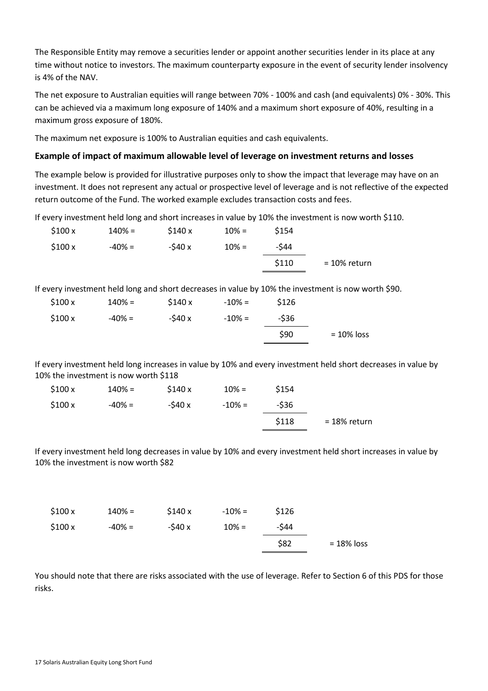The Responsible Entity may remove a securities lender or appoint another securities lender in its place at any time without notice to investors. The maximum counterparty exposure in the event of security lender insolvency is 4% of the NAV.

The net exposure to Australian equities will range between 70% - 100% and cash (and equivalents) 0% - 30%. This can be achieved via a maximum long exposure of 140% and a maximum short exposure of 40%, resulting in a maximum gross exposure of 180%.

The maximum net exposure is 100% to Australian equities and cash equivalents.

### **Example of impact of maximum allowable level of leverage on investment returns and losses**

The example below is provided for illustrative purposes only to show the impact that leverage may have on an investment. It does not represent any actual or prospective level of leverage and is not reflective of the expected return outcome of the Fund. The worked example excludes transaction costs and fees.

If every investment held long and short increases in value by 10% the investment is now worth \$110.

| \$100x | $140% =$  | \$140x  | $10\% =$ | \$154 |                 |
|--------|-----------|---------|----------|-------|-----------------|
| \$100x | $-40\% =$ | $-540x$ | $10% =$  | -\$44 |                 |
|        |           |         |          | \$110 | $= 10\%$ return |

If every investment held long and short decreases in value by 10% the investment is now worth \$90.

| \$100x | $140% =$ | \$140x  | $-10\% =$ | \$126 |               |
|--------|----------|---------|-----------|-------|---------------|
| \$100x | $-40% =$ | $-540x$ | $-10\% =$ | -\$36 |               |
|        |          |         |           | \$90  | $= 10\%$ loss |

If every investment held long increases in value by 10% and every investment held short decreases in value by 10% the investment is now worth \$118

| \$100x | 140% =    | \$140x  | $10% =$   | \$154  |              |
|--------|-----------|---------|-----------|--------|--------------|
| \$100x | $-40\% =$ | $-540x$ | $-10\% =$ | $-536$ |              |
|        |           |         |           | \$118  | = 18% return |

If every investment held long decreases in value by 10% and every investment held short increases in value by 10% the investment is now worth \$82

| \$100x | $140% =$  | \$140x  | $-10\% =$ | \$126 |               |
|--------|-----------|---------|-----------|-------|---------------|
| \$100x | $-40\% =$ | $-540x$ | $10% =$   | -\$44 |               |
|        |           |         |           | \$82  | $= 18\%$ loss |

You should note that there are risks associated with the use of leverage. Refer to Section 6 of this PDS for those risks.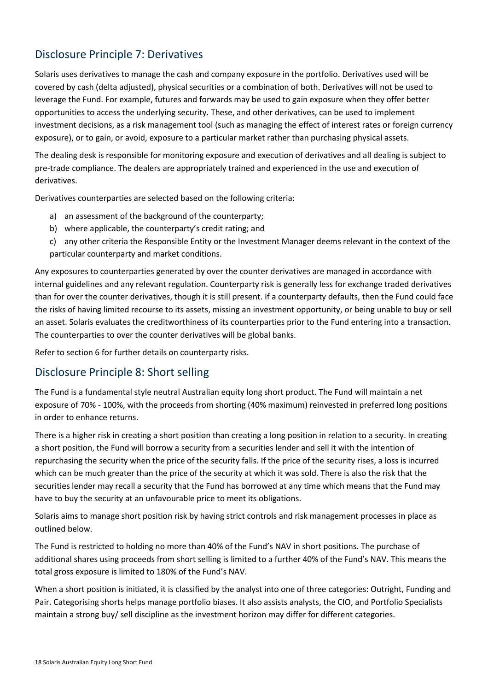# Disclosure Principle 7: Derivatives

Solaris uses derivatives to manage the cash and company exposure in the portfolio. Derivatives used will be covered by cash (delta adjusted), physical securities or a combination of both. Derivatives will not be used to leverage the Fund. For example, futures and forwards may be used to gain exposure when they offer better opportunities to access the underlying security. These, and other derivatives, can be used to implement investment decisions, as a risk management tool (such as managing the effect of interest rates or foreign currency exposure), or to gain, or avoid, exposure to a particular market rather than purchasing physical assets.

The dealing desk is responsible for monitoring exposure and execution of derivatives and all dealing is subject to pre-trade compliance. The dealers are appropriately trained and experienced in the use and execution of derivatives.

Derivatives counterparties are selected based on the following criteria:

- a) an assessment of the background of the counterparty;
- b) where applicable, the counterparty's credit rating; and
- c) any other criteria the Responsible Entity or the Investment Manager deems relevant in the context of the particular counterparty and market conditions.

Any exposures to counterparties generated by over the counter derivatives are managed in accordance with internal guidelines and any relevant regulation. Counterparty risk is generally less for exchange traded derivatives than for over the counter derivatives, though it is still present. If a counterparty defaults, then the Fund could face the risks of having limited recourse to its assets, missing an investment opportunity, or being unable to buy or sell an asset. Solaris evaluates the creditworthiness of its counterparties prior to the Fund entering into a transaction. The counterparties to over the counter derivatives will be global banks.

Refer to section 6 for further details on counterparty risks.

## Disclosure Principle 8: Short selling

The Fund is a fundamental style neutral Australian equity long short product. The Fund will maintain a net exposure of 70% - 100%, with the proceeds from shorting (40% maximum) reinvested in preferred long positions in order to enhance returns.

There is a higher risk in creating a short position than creating a long position in relation to a security. In creating a short position, the Fund will borrow a security from a securities lender and sell it with the intention of repurchasing the security when the price of the security falls. If the price of the security rises, a loss is incurred which can be much greater than the price of the security at which it was sold. There is also the risk that the securities lender may recall a security that the Fund has borrowed at any time which means that the Fund may have to buy the security at an unfavourable price to meet its obligations.

Solaris aims to manage short position risk by having strict controls and risk management processes in place as outlined below.

The Fund is restricted to holding no more than 40% of the Fund's NAV in short positions. The purchase of additional shares using proceeds from short selling is limited to a further 40% of the Fund's NAV. This means the total gross exposure is limited to 180% of the Fund's NAV.

When a short position is initiated, it is classified by the analyst into one of three categories: Outright, Funding and Pair. Categorising shorts helps manage portfolio biases. It also assists analysts, the CIO, and Portfolio Specialists maintain a strong buy/ sell discipline as the investment horizon may differ for different categories.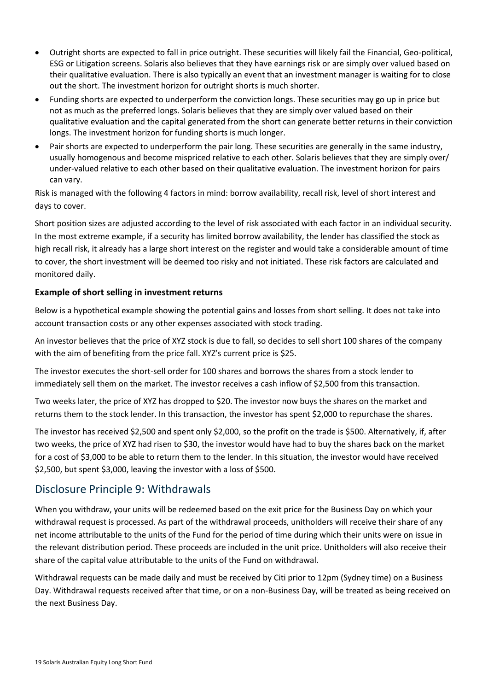- Outright shorts are expected to fall in price outright. These securities will likely fail the Financial, Geo-political, ESG or Litigation screens. Solaris also believes that they have earnings risk or are simply over valued based on their qualitative evaluation. There is also typically an event that an investment manager is waiting for to close out the short. The investment horizon for outright shorts is much shorter.
- Funding shorts are expected to underperform the conviction longs. These securities may go up in price but not as much as the preferred longs. Solaris believes that they are simply over valued based on their qualitative evaluation and the capital generated from the short can generate better returns in their conviction longs. The investment horizon for funding shorts is much longer.
- Pair shorts are expected to underperform the pair long. These securities are generally in the same industry, usually homogenous and become mispriced relative to each other. Solaris believes that they are simply over/ under-valued relative to each other based on their qualitative evaluation. The investment horizon for pairs can vary.

Risk is managed with the following 4 factors in mind: borrow availability, recall risk, level of short interest and days to cover.

Short position sizes are adjusted according to the level of risk associated with each factor in an individual security. In the most extreme example, if a security has limited borrow availability, the lender has classified the stock as high recall risk, it already has a large short interest on the register and would take a considerable amount of time to cover, the short investment will be deemed too risky and not initiated. These risk factors are calculated and monitored daily.

### **Example of short selling in investment returns**

Below is a hypothetical example showing the potential gains and losses from short selling. It does not take into account transaction costs or any other expenses associated with stock trading.

An investor believes that the price of XYZ stock is due to fall, so decides to sell short 100 shares of the company with the aim of benefiting from the price fall. XYZ's current price is \$25.

The investor executes the short-sell order for 100 shares and borrows the shares from a stock lender to immediately sell them on the market. The investor receives a cash inflow of \$2,500 from this transaction.

Two weeks later, the price of XYZ has dropped to \$20. The investor now buys the shares on the market and returns them to the stock lender. In this transaction, the investor has spent \$2,000 to repurchase the shares.

The investor has received \$2,500 and spent only \$2,000, so the profit on the trade is \$500. Alternatively, if, after two weeks, the price of XYZ had risen to \$30, the investor would have had to buy the shares back on the market for a cost of \$3,000 to be able to return them to the lender. In this situation, the investor would have received \$2,500, but spent \$3,000, leaving the investor with a loss of \$500.

## Disclosure Principle 9: Withdrawals

When you withdraw, your units will be redeemed based on the exit price for the Business Day on which your withdrawal request is processed. As part of the withdrawal proceeds, unitholders will receive their share of any net income attributable to the units of the Fund for the period of time during which their units were on issue in the relevant distribution period. These proceeds are included in the unit price. Unitholders will also receive their share of the capital value attributable to the units of the Fund on withdrawal.

Withdrawal requests can be made daily and must be received by Citi prior to 12pm (Sydney time) on a Business Day. Withdrawal requests received after that time, or on a non-Business Day, will be treated as being received on the next Business Day.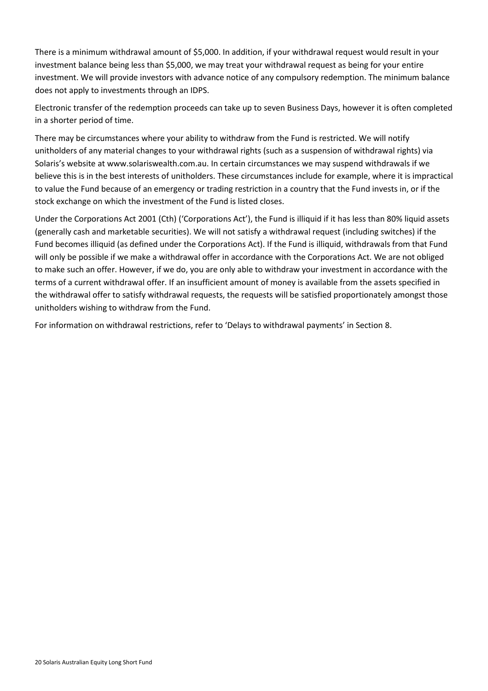There is a minimum withdrawal amount of \$5,000. In addition, if your withdrawal request would result in your investment balance being less than \$5,000, we may treat your withdrawal request as being for your entire investment. We will provide investors with advance notice of any compulsory redemption. The minimum balance does not apply to investments through an IDPS.

Electronic transfer of the redemption proceeds can take up to seven Business Days, however it is often completed in a shorter period of time.

There may be circumstances where your ability to withdraw from the Fund is restricted. We will notify unitholders of any material changes to your withdrawal rights (such as a suspension of withdrawal rights) via Solaris's website at www.solariswealth.com.au. In certain circumstances we may suspend withdrawals if we believe this is in the best interests of unitholders. These circumstances include for example, where it is impractical to value the Fund because of an emergency or trading restriction in a country that the Fund invests in, or if the stock exchange on which the investment of the Fund is listed closes.

Under the Corporations Act 2001 (Cth) ('Corporations Act'), the Fund is illiquid if it has less than 80% liquid assets (generally cash and marketable securities). We will not satisfy a withdrawal request (including switches) if the Fund becomes illiquid (as defined under the Corporations Act). If the Fund is illiquid, withdrawals from that Fund will only be possible if we make a withdrawal offer in accordance with the Corporations Act. We are not obliged to make such an offer. However, if we do, you are only able to withdraw your investment in accordance with the terms of a current withdrawal offer. If an insufficient amount of money is available from the assets specified in the withdrawal offer to satisfy withdrawal requests, the requests will be satisfied proportionately amongst those unitholders wishing to withdraw from the Fund.

For information on withdrawal restrictions, refer to 'Delays to withdrawal payments' in Section 8.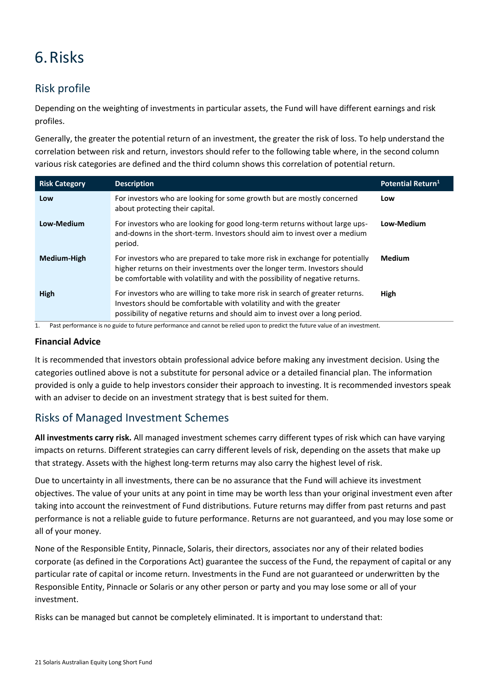# <span id="page-23-0"></span>6.Risks

# Risk profile

Depending on the weighting of investments in particular assets, the Fund will have different earnings and risk profiles.

Generally, the greater the potential return of an investment, the greater the risk of loss. To help understand the correlation between risk and return, investors should refer to the following table where, in the second column various risk categories are defined and the third column shows this correlation of potential return.

| <b>Risk Category</b> | <b>Description</b>                                                                                                                                                                                                                         | Potential Return <sup>1</sup> |
|----------------------|--------------------------------------------------------------------------------------------------------------------------------------------------------------------------------------------------------------------------------------------|-------------------------------|
| Low                  | For investors who are looking for some growth but are mostly concerned<br>about protecting their capital.                                                                                                                                  | Low                           |
| Low-Medium           | For investors who are looking for good long-term returns without large ups-<br>and-downs in the short-term. Investors should aim to invest over a medium<br>period.                                                                        | Low-Medium                    |
| Medium-High          | For investors who are prepared to take more risk in exchange for potentially<br>higher returns on their investments over the longer term. Investors should<br>be comfortable with volatility and with the possibility of negative returns. | <b>Medium</b>                 |
| High                 | For investors who are willing to take more risk in search of greater returns.<br>Investors should be comfortable with volatility and with the greater<br>possibility of negative returns and should aim to invest over a long period.      | High                          |

1. Past performance is no guide to future performance and cannot be relied upon to predict the future value of an investment.

#### **Financial Advice**

It is recommended that investors obtain professional advice before making any investment decision. Using the categories outlined above is not a substitute for personal advice or a detailed financial plan. The information provided is only a guide to help investors consider their approach to investing. It is recommended investors speak with an adviser to decide on an investment strategy that is best suited for them.

## Risks of Managed Investment Schemes

**All investments carry risk.** All managed investment schemes carry different types of risk which can have varying impacts on returns. Different strategies can carry different levels of risk, depending on the assets that make up that strategy. Assets with the highest long-term returns may also carry the highest level of risk.

Due to uncertainty in all investments, there can be no assurance that the Fund will achieve its investment objectives. The value of your units at any point in time may be worth less than your original investment even after taking into account the reinvestment of Fund distributions. Future returns may differ from past returns and past performance is not a reliable guide to future performance. Returns are not guaranteed, and you may lose some or all of your money.

None of the Responsible Entity, Pinnacle, Solaris, their directors, associates nor any of their related bodies corporate (as defined in the Corporations Act) guarantee the success of the Fund, the repayment of capital or any particular rate of capital or income return. Investments in the Fund are not guaranteed or underwritten by the Responsible Entity, Pinnacle or Solaris or any other person or party and you may lose some or all of your investment.

Risks can be managed but cannot be completely eliminated. It is important to understand that: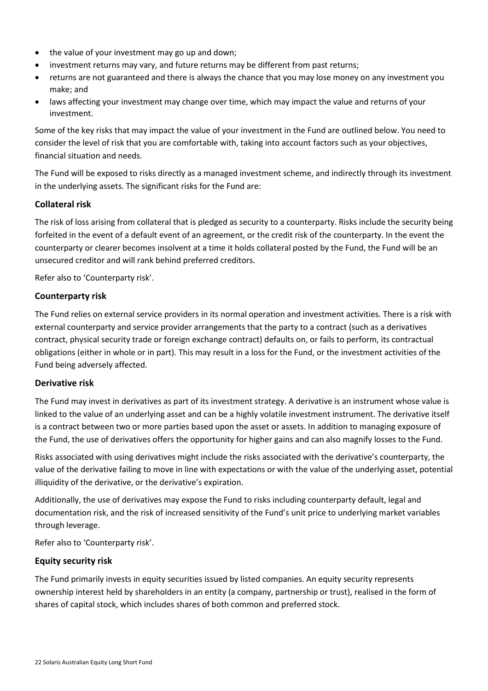- the value of your investment may go up and down;
- investment returns may vary, and future returns may be different from past returns;
- returns are not guaranteed and there is always the chance that you may lose money on any investment you make; and
- laws affecting your investment may change over time, which may impact the value and returns of your investment.

Some of the key risks that may impact the value of your investment in the Fund are outlined below. You need to consider the level of risk that you are comfortable with, taking into account factors such as your objectives, financial situation and needs.

The Fund will be exposed to risks directly as a managed investment scheme, and indirectly through its investment in the underlying assets. The significant risks for the Fund are:

### **Collateral risk**

The risk of loss arising from collateral that is pledged as security to a counterparty. Risks include the security being forfeited in the event of a default event of an agreement, or the credit risk of the counterparty. In the event the counterparty or clearer becomes insolvent at a time it holds collateral posted by the Fund, the Fund will be an unsecured creditor and will rank behind preferred creditors.

Refer also to 'Counterparty risk'.

### **Counterparty risk**

The Fund relies on external service providers in its normal operation and investment activities. There is a risk with external counterparty and service provider arrangements that the party to a contract (such as a derivatives contract, physical security trade or foreign exchange contract) defaults on, or fails to perform, its contractual obligations (either in whole or in part). This may result in a loss for the Fund, or the investment activities of the Fund being adversely affected.

#### **Derivative risk**

The Fund may invest in derivatives as part of its investment strategy. A derivative is an instrument whose value is linked to the value of an underlying asset and can be a highly volatile investment instrument. The derivative itself is a contract between two or more parties based upon the asset or assets. In addition to managing exposure of the Fund, the use of derivatives offers the opportunity for higher gains and can also magnify losses to the Fund.

Risks associated with using derivatives might include the risks associated with the derivative's counterparty, the value of the derivative failing to move in line with expectations or with the value of the underlying asset, potential illiquidity of the derivative, or the derivative's expiration.

Additionally, the use of derivatives may expose the Fund to risks including counterparty default, legal and documentation risk, and the risk of increased sensitivity of the Fund's unit price to underlying market variables through leverage.

Refer also to 'Counterparty risk'.

### **Equity security risk**

The Fund primarily invests in equity securities issued by listed companies. An equity security represents ownership interest held by shareholders in an entity (a company, partnership or trust), realised in the form of shares of capital stock, which includes shares of both common and preferred stock.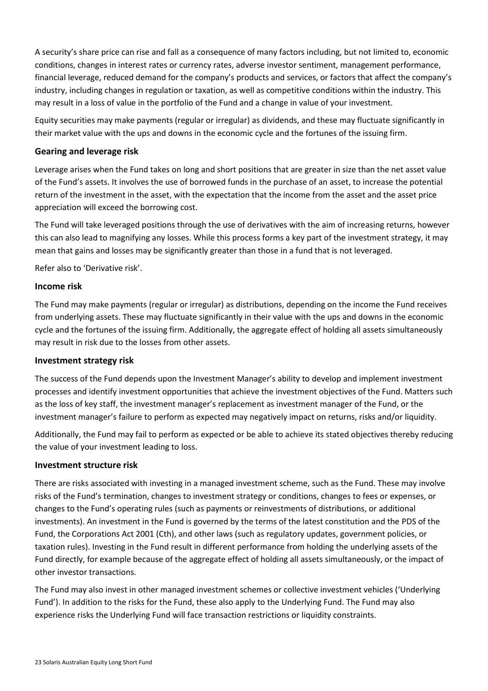A security's share price can rise and fall as a consequence of many factors including, but not limited to, economic conditions, changes in interest rates or currency rates, adverse investor sentiment, management performance, financial leverage, reduced demand for the company's products and services, or factors that affect the company's industry, including changes in regulation or taxation, as well as competitive conditions within the industry. This may result in a loss of value in the portfolio of the Fund and a change in value of your investment.

Equity securities may make payments (regular or irregular) as dividends, and these may fluctuate significantly in their market value with the ups and downs in the economic cycle and the fortunes of the issuing firm.

### **Gearing and leverage risk**

Leverage arises when the Fund takes on long and short positions that are greater in size than the net asset value of the Fund's assets. It involves the use of borrowed funds in the purchase of an asset, to increase the potential return of the investment in the asset, with the expectation that the income from the asset and the asset price appreciation will exceed the borrowing cost.

The Fund will take leveraged positions through the use of derivatives with the aim of increasing returns, however this can also lead to magnifying any losses. While this process forms a key part of the investment strategy, it may mean that gains and losses may be significantly greater than those in a fund that is not leveraged.

Refer also to 'Derivative risk'.

### **Income risk**

The Fund may make payments (regular or irregular) as distributions, depending on the income the Fund receives from underlying assets. These may fluctuate significantly in their value with the ups and downs in the economic cycle and the fortunes of the issuing firm. Additionally, the aggregate effect of holding all assets simultaneously may result in risk due to the losses from other assets.

#### **Investment strategy risk**

The success of the Fund depends upon the Investment Manager's ability to develop and implement investment processes and identify investment opportunities that achieve the investment objectives of the Fund. Matters such as the loss of key staff, the investment manager's replacement as investment manager of the Fund, or the investment manager's failure to perform as expected may negatively impact on returns, risks and/or liquidity.

Additionally, the Fund may fail to perform as expected or be able to achieve its stated objectives thereby reducing the value of your investment leading to loss.

### **Investment structure risk**

There are risks associated with investing in a managed investment scheme, such as the Fund. These may involve risks of the Fund's termination, changes to investment strategy or conditions, changes to fees or expenses, or changes to the Fund's operating rules (such as payments or reinvestments of distributions, or additional investments). An investment in the Fund is governed by the terms of the latest constitution and the PDS of the Fund, the Corporations Act 2001 (Cth), and other laws (such as regulatory updates, government policies, or taxation rules). Investing in the Fund result in different performance from holding the underlying assets of the Fund directly, for example because of the aggregate effect of holding all assets simultaneously, or the impact of other investor transactions.

The Fund may also invest in other managed investment schemes or collective investment vehicles ('Underlying Fund'). In addition to the risks for the Fund, these also apply to the Underlying Fund. The Fund may also experience risks the Underlying Fund will face transaction restrictions or liquidity constraints.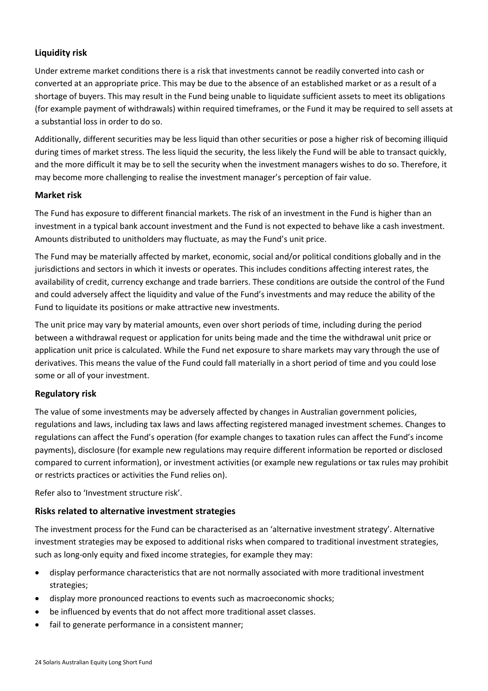### **Liquidity risk**

Under extreme market conditions there is a risk that investments cannot be readily converted into cash or converted at an appropriate price. This may be due to the absence of an established market or as a result of a shortage of buyers. This may result in the Fund being unable to liquidate sufficient assets to meet its obligations (for example payment of withdrawals) within required timeframes, or the Fund it may be required to sell assets at a substantial loss in order to do so.

Additionally, different securities may be less liquid than other securities or pose a higher risk of becoming illiquid during times of market stress. The less liquid the security, the less likely the Fund will be able to transact quickly, and the more difficult it may be to sell the security when the investment managers wishes to do so. Therefore, it may become more challenging to realise the investment manager's perception of fair value.

#### **Market risk**

The Fund has exposure to different financial markets. The risk of an investment in the Fund is higher than an investment in a typical bank account investment and the Fund is not expected to behave like a cash investment. Amounts distributed to unitholders may fluctuate, as may the Fund's unit price.

The Fund may be materially affected by market, economic, social and/or political conditions globally and in the jurisdictions and sectors in which it invests or operates. This includes conditions affecting interest rates, the availability of credit, currency exchange and trade barriers. These conditions are outside the control of the Fund and could adversely affect the liquidity and value of the Fund's investments and may reduce the ability of the Fund to liquidate its positions or make attractive new investments.

The unit price may vary by material amounts, even over short periods of time, including during the period between a withdrawal request or application for units being made and the time the withdrawal unit price or application unit price is calculated. While the Fund net exposure to share markets may vary through the use of derivatives. This means the value of the Fund could fall materially in a short period of time and you could lose some or all of your investment.

### **Regulatory risk**

The value of some investments may be adversely affected by changes in Australian government policies, regulations and laws, including tax laws and laws affecting registered managed investment schemes. Changes to regulations can affect the Fund's operation (for example changes to taxation rules can affect the Fund's income payments), disclosure (for example new regulations may require different information be reported or disclosed compared to current information), or investment activities (or example new regulations or tax rules may prohibit or restricts practices or activities the Fund relies on).

Refer also to 'Investment structure risk'.

### **Risks related to alternative investment strategies**

The investment process for the Fund can be characterised as an 'alternative investment strategy'. Alternative investment strategies may be exposed to additional risks when compared to traditional investment strategies, such as long-only equity and fixed income strategies, for example they may:

- display performance characteristics that are not normally associated with more traditional investment strategies;
- display more pronounced reactions to events such as macroeconomic shocks;
- be influenced by events that do not affect more traditional asset classes.
- fail to generate performance in a consistent manner;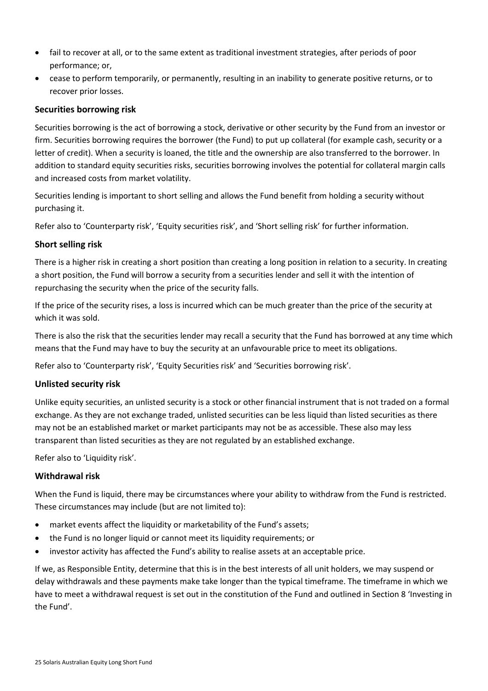- fail to recover at all, or to the same extent as traditional investment strategies, after periods of poor performance; or,
- cease to perform temporarily, or permanently, resulting in an inability to generate positive returns, or to recover prior losses.

### **Securities borrowing risk**

Securities borrowing is the act of borrowing a stock, derivative or other security by the Fund from an investor or firm. Securities borrowing requires the borrower (the Fund) to put up collateral (for example cash, security or a letter of credit). When a security is loaned, the title and the ownership are also transferred to the borrower. In addition to standard equity securities risks, securities borrowing involves the potential for collateral margin calls and increased costs from market volatility.

Securities lending is important to short selling and allows the Fund benefit from holding a security without purchasing it.

Refer also to 'Counterparty risk', 'Equity securities risk', and 'Short selling risk' for further information.

#### **Short selling risk**

There is a higher risk in creating a short position than creating a long position in relation to a security. In creating a short position, the Fund will borrow a security from a securities lender and sell it with the intention of repurchasing the security when the price of the security falls.

If the price of the security rises, a loss is incurred which can be much greater than the price of the security at which it was sold.

There is also the risk that the securities lender may recall a security that the Fund has borrowed at any time which means that the Fund may have to buy the security at an unfavourable price to meet its obligations.

Refer also to 'Counterparty risk', 'Equity Securities risk' and 'Securities borrowing risk'.

#### **Unlisted security risk**

Unlike equity securities, an unlisted security is a stock or other financial instrument that is not traded on a formal exchange. As they are not exchange traded, unlisted securities can be less liquid than listed securities as there may not be an established market or market participants may not be as accessible. These also may less transparent than listed securities as they are not regulated by an established exchange.

Refer also to 'Liquidity risk'.

### **Withdrawal risk**

When the Fund is liquid, there may be circumstances where your ability to withdraw from the Fund is restricted. These circumstances may include (but are not limited to):

- market events affect the liquidity or marketability of the Fund's assets;
- the Fund is no longer liquid or cannot meet its liquidity requirements; or
- investor activity has affected the Fund's ability to realise assets at an acceptable price.

If we, as Responsible Entity, determine that this is in the best interests of all unit holders, we may suspend or delay withdrawals and these payments make take longer than the typical timeframe. The timeframe in which we have to meet a withdrawal request is set out in the constitution of the Fund and outlined in Section 8 'Investing in the Fund'.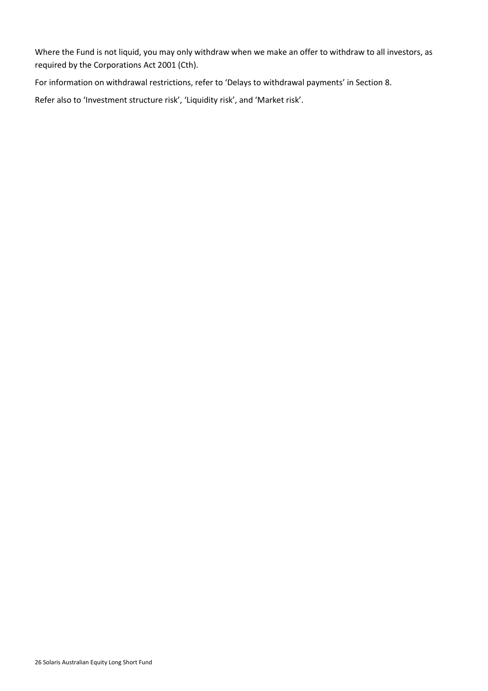Where the Fund is not liquid, you may only withdraw when we make an offer to withdraw to all investors, as required by the Corporations Act 2001 (Cth).

For information on withdrawal restrictions, refer to 'Delays to withdrawal payments' in Section 8.

Refer also to 'Investment structure risk', 'Liquidity risk', and 'Market risk'.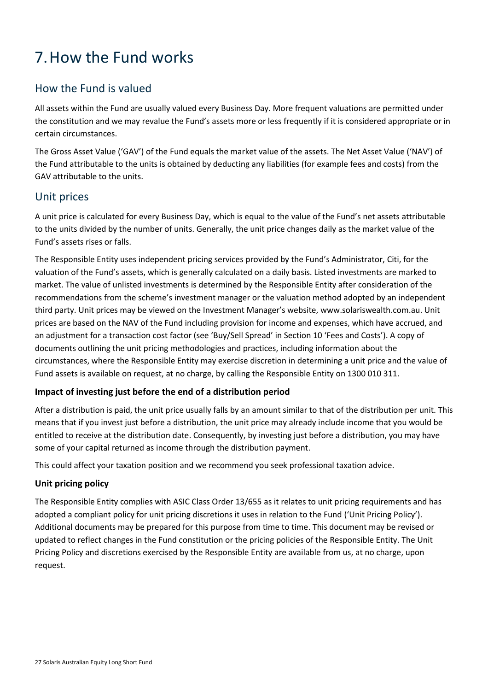# <span id="page-29-0"></span>7.How the Fund works

# How the Fund is valued

All assets within the Fund are usually valued every Business Day. More frequent valuations are permitted under the constitution and we may revalue the Fund's assets more or less frequently if it is considered appropriate or in certain circumstances.

The Gross Asset Value ('GAV') of the Fund equals the market value of the assets. The Net Asset Value ('NAV') of the Fund attributable to the units is obtained by deducting any liabilities (for example fees and costs) from the GAV attributable to the units.

## Unit prices

A unit price is calculated for every Business Day, which is equal to the value of the Fund's net assets attributable to the units divided by the number of units. Generally, the unit price changes daily as the market value of the Fund's assets rises or falls.

The Responsible Entity uses independent pricing services provided by the Fund's Administrator, Citi, for the valuation of the Fund's assets, which is generally calculated on a daily basis. Listed investments are marked to market. The value of unlisted investments is determined by the Responsible Entity after consideration of the recommendations from the scheme's investment manager or the valuation method adopted by an independent third party. Unit prices may be viewed on the Investment Manager's website, [www.solariswealth.com.au.](http://www.plato.com.au/) Unit prices are based on the NAV of the Fund including provision for income and expenses, which have accrued, and an adjustment for a transaction cost factor (see 'Buy/Sell Spread' in Section [10](#page-39-0) 'Fees and Costs'). A copy of documents outlining the unit pricing methodologies and practices, including information about the circumstances, where the Responsible Entity may exercise discretion in determining a unit price and the value of Fund assets is available on request, at no charge, by calling the Responsible Entity on 1300 010 311.

### **Impact of investing just before the end of a distribution period**

After a distribution is paid, the unit price usually falls by an amount similar to that of the distribution per unit. This means that if you invest just before a distribution, the unit price may already include income that you would be entitled to receive at the distribution date. Consequently, by investing just before a distribution, you may have some of your capital returned as income through the distribution payment.

This could affect your taxation position and we recommend you seek professional taxation advice.

### **Unit pricing policy**

The Responsible Entity complies with ASIC Class Order 13/655 as it relates to unit pricing requirements and has adopted a compliant policy for unit pricing discretions it uses in relation to the Fund ('Unit Pricing Policy'). Additional documents may be prepared for this purpose from time to time. This document may be revised or updated to reflect changes in the Fund constitution or the pricing policies of the Responsible Entity. The Unit Pricing Policy and discretions exercised by the Responsible Entity are available from us, at no charge, upon request.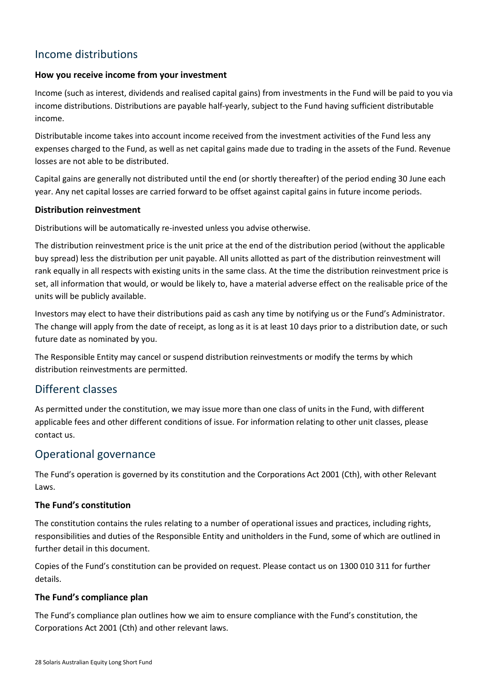# Income distributions

### **How you receive income from your investment**

Income (such as interest, dividends and realised capital gains) from investments in the Fund will be paid to you via income distributions. Distributions are payable half-yearly, subject to the Fund having sufficient distributable income.

Distributable income takes into account income received from the investment activities of the Fund less any expenses charged to the Fund, as well as net capital gains made due to trading in the assets of the Fund. Revenue losses are not able to be distributed.

Capital gains are generally not distributed until the end (or shortly thereafter) of the period ending 30 June each year. Any net capital losses are carried forward to be offset against capital gains in future income periods.

#### **Distribution reinvestment**

Distributions will be automatically re-invested unless you advise otherwise.

The distribution reinvestment price is the unit price at the end of the distribution period (without the applicable buy spread) less the distribution per unit payable. All units allotted as part of the distribution reinvestment will rank equally in all respects with existing units in the same class. At the time the distribution reinvestment price is set, all information that would, or would be likely to, have a material adverse effect on the realisable price of the units will be publicly available.

Investors may elect to have their distributions paid as cash any time by notifying us or the Fund's Administrator. The change will apply from the date of receipt, as long as it is at least 10 days prior to a distribution date, or such future date as nominated by you.

The Responsible Entity may cancel or suspend distribution reinvestments or modify the terms by which distribution reinvestments are permitted.

### Different classes

As permitted under the constitution, we may issue more than one class of units in the Fund, with different applicable fees and other different conditions of issue. For information relating to other unit classes, please contact us.

### Operational governance

The Fund's operation is governed by its constitution and the Corporations Act 2001 (Cth), with other Relevant Laws.

### **The Fund's constitution**

The constitution contains the rules relating to a number of operational issues and practices, including rights, responsibilities and duties of the Responsible Entity and unitholders in the Fund, some of which are outlined in further detail in this document.

Copies of the Fund's constitution can be provided on request. Please contact us on 1300 010 311 for further details.

### **The Fund's compliance plan**

The Fund's compliance plan outlines how we aim to ensure compliance with the Fund's constitution, the Corporations Act 2001 (Cth) and other relevant laws.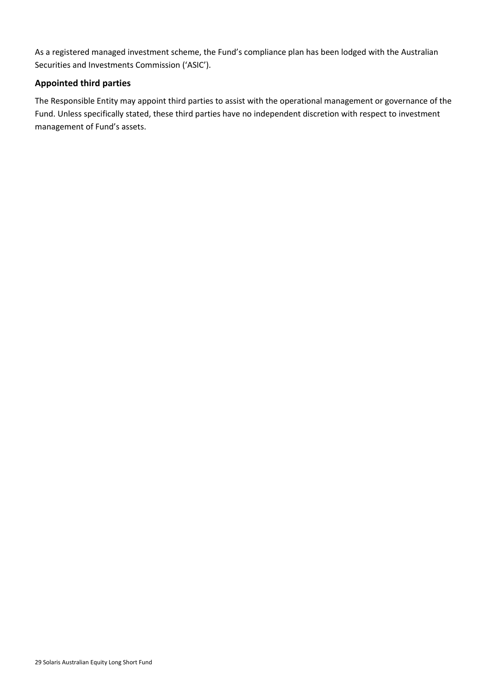As a registered managed investment scheme, the Fund's compliance plan has been lodged with the Australian Securities and Investments Commission ('ASIC').

### **Appointed third parties**

The Responsible Entity may appoint third parties to assist with the operational management or governance of the Fund. Unless specifically stated, these third parties have no independent discretion with respect to investment management of Fund's assets.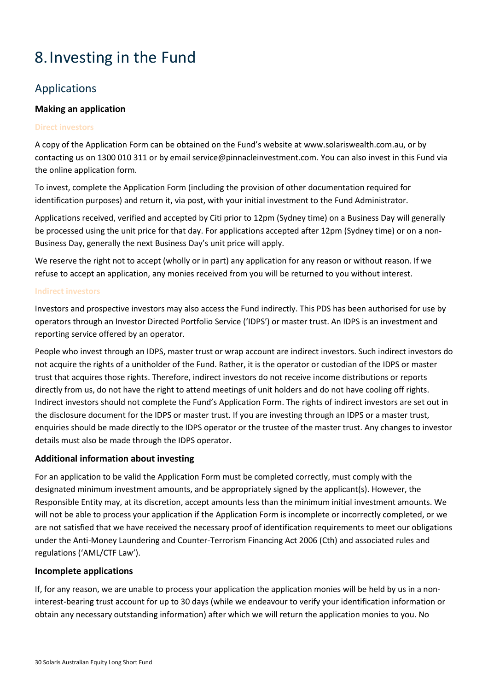# <span id="page-32-0"></span>8.Investing in the Fund

## Applications

### **Making an application**

#### **Direct investors**

A copy of the Application Form can be obtained on the Fund's website at www.solariswealth.com.au, or by contacting us on 1300 010 311 or by email service@pinnacleinvestment.com. You can also invest in this Fund via the online application form.

To invest, complete the Application Form (including the provision of other documentation required for identification purposes) and return it, via post, with your initial investment to the Fund Administrator.

Applications received, verified and accepted by Citi prior to 12pm (Sydney time) on a Business Day will generally be processed using the unit price for that day. For applications accepted after 12pm (Sydney time) or on a non-Business Day, generally the next Business Day's unit price will apply.

We reserve the right not to accept (wholly or in part) any application for any reason or without reason. If we refuse to accept an application, any monies received from you will be returned to you without interest.

#### **Indirect investors**

Investors and prospective investors may also access the Fund indirectly. This PDS has been authorised for use by operators through an Investor Directed Portfolio Service ('IDPS') or master trust. An IDPS is an investment and reporting service offered by an operator.

People who invest through an IDPS, master trust or wrap account are indirect investors. Such indirect investors do not acquire the rights of a unitholder of the Fund. Rather, it is the operator or custodian of the IDPS or master trust that acquires those rights. Therefore, indirect investors do not receive income distributions or reports directly from us, do not have the right to attend meetings of unit holders and do not have cooling off rights. Indirect investors should not complete the Fund's Application Form. The rights of indirect investors are set out in the disclosure document for the IDPS or master trust. If you are investing through an IDPS or a master trust, enquiries should be made directly to the IDPS operator or the trustee of the master trust. Any changes to investor details must also be made through the IDPS operator.

### **Additional information about investing**

For an application to be valid the Application Form must be completed correctly, must comply with the designated minimum investment amounts, and be appropriately signed by the applicant(s). However, the Responsible Entity may, at its discretion, accept amounts less than the minimum initial investment amounts. We will not be able to process your application if the Application Form is incomplete or incorrectly completed, or we are not satisfied that we have received the necessary proof of identification requirements to meet our obligations under the Anti-Money Laundering and Counter-Terrorism Financing Act 2006 (Cth) and associated rules and regulations ('AML/CTF Law').

### **Incomplete applications**

If, for any reason, we are unable to process your application the application monies will be held by us in a noninterest-bearing trust account for up to 30 days (while we endeavour to verify your identification information or obtain any necessary outstanding information) after which we will return the application monies to you. No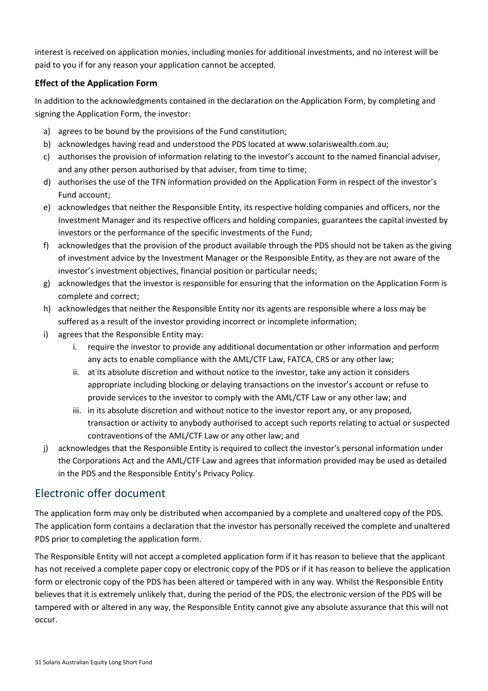interest is received on application monies, including monies for additional investments, and no interest will be paid to you if for any reason your application cannot be accepted.

### **Effect of the Application Form**

In addition to the acknowledgments contained in the declaration on the Application Form, by completing and signing the Application Form, the investor:

- a) agrees to be bound by the provisions of the Fund constitution;
- b) acknowledges having read and understood the PDS located at www.solariswealth.com.au;
- c) authorises the provision of information relating to the investor's account to the named financial adviser, and any other person authorised by that adviser, from time to time;
- d) authorises the use of the TFN information provided on the Application Form in respect of the investor's Fund account;
- e) acknowledges that neither the Responsible Entity, its respective holding companies and officers, nor the Investment Manager and its respective officers and holding companies, guarantees the capital invested by investors or the performance of the specific investments of the Fund;
- f) acknowledges that the provision of the product available through the PDS should not be taken as the giving of investment advice by the Investment Manager or the Responsible Entity, as they are not aware of the investor's investment objectives, financial position or particular needs;
- g) acknowledges that the investor is responsible for ensuring that the information on the Application Form is complete and correct;
- h) acknowledges that neither the Responsible Entity nor its agents are responsible where a loss may be suffered as a result of the investor providing incorrect or incomplete information;
- i) agrees that the Responsible Entity may:
	- i. require the investor to provide any additional documentation or other information and perform any acts to enable compliance with the AML/CTF Law, FATCA, CRS or any other law;
	- ii. at its absolute discretion and without notice to the investor, take any action it considers appropriate including blocking or delaying transactions on the investor's account or refuse to provide services to the investor to comply with the AML/CTF Law or any other law; and
	- iii. in its absolute discretion and without notice to the investor report any, or any proposed, transaction or activity to anybody authorised to accept such reports relating to actual or suspected contraventions of the AML/CTF Law or any other law; and
- j) acknowledges that the Responsible Entity is required to collect the investor's personal information under the Corporations Act and the AML/CTF Law and agrees that information provided may be used as detailed in the PDS and the Responsible Entity's Privacy Policy.

# Electronic offer document

The application form may only be distributed when accompanied by a complete and unaltered copy of the PDS. The application form contains a declaration that the investor has personally received the complete and unaltered PDS prior to completing the application form.

The Responsible Entity will not accept a completed application form if it has reason to believe that the applicant has not received a complete paper copy or electronic copy of the PDS or if it has reason to believe the application form or electronic copy of the PDS has been altered or tampered with in any way. Whilst the Responsible Entity believes that it is extremely unlikely that, during the period of the PDS, the electronic version of the PDS will be tampered with or altered in any way, the Responsible Entity cannot give any absolute assurance that this will not occur.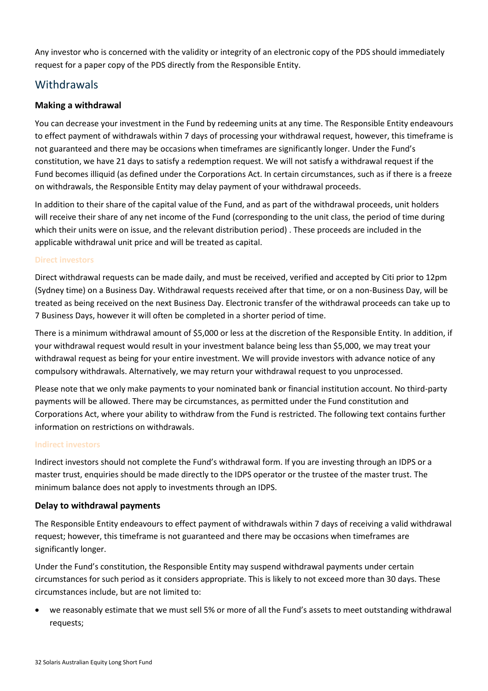Any investor who is concerned with the validity or integrity of an electronic copy of the PDS should immediately request for a paper copy of the PDS directly from the Responsible Entity.

## **Withdrawals**

### **Making a withdrawal**

You can decrease your investment in the Fund by redeeming units at any time. The Responsible Entity endeavours to effect payment of withdrawals within 7 days of processing your withdrawal request, however, this timeframe is not guaranteed and there may be occasions when timeframes are significantly longer. Under the Fund's constitution, we have 21 days to satisfy a redemption request. We will not satisfy a withdrawal request if the Fund becomes illiquid (as defined under the Corporations Act. In certain circumstances, such as if there is a freeze on withdrawals, the Responsible Entity may delay payment of your withdrawal proceeds.

In addition to their share of the capital value of the Fund, and as part of the withdrawal proceeds, unit holders will receive their share of any net income of the Fund (corresponding to the unit class, the period of time during which their units were on issue, and the relevant distribution period) . These proceeds are included in the applicable withdrawal unit price and will be treated as capital.

#### **Direct investors**

Direct withdrawal requests can be made daily, and must be received, verified and accepted by Citi prior to 12pm (Sydney time) on a Business Day. Withdrawal requests received after that time, or on a non-Business Day, will be treated as being received on the next Business Day. Electronic transfer of the withdrawal proceeds can take up to 7 Business Days, however it will often be completed in a shorter period of time.

There is a minimum withdrawal amount of \$5,000 or less at the discretion of the Responsible Entity. In addition, if your withdrawal request would result in your investment balance being less than \$5,000, we may treat your withdrawal request as being for your entire investment. We will provide investors with advance notice of any compulsory withdrawals. Alternatively, we may return your withdrawal request to you unprocessed.

Please note that we only make payments to your nominated bank or financial institution account. No third-party payments will be allowed. There may be circumstances, as permitted under the Fund constitution and Corporations Act, where your ability to withdraw from the Fund is restricted. The following text contains further information on restrictions on withdrawals.

#### **Indirect investors**

Indirect investors should not complete the Fund's withdrawal form. If you are investing through an IDPS or a master trust, enquiries should be made directly to the IDPS operator or the trustee of the master trust. The minimum balance does not apply to investments through an IDPS.

### **Delay to withdrawal payments**

The Responsible Entity endeavours to effect payment of withdrawals within 7 days of receiving a valid withdrawal request; however, this timeframe is not guaranteed and there may be occasions when timeframes are significantly longer.

Under the Fund's constitution, the Responsible Entity may suspend withdrawal payments under certain circumstances for such period as it considers appropriate. This is likely to not exceed more than 30 days. These circumstances include, but are not limited to:

• we reasonably estimate that we must sell 5% or more of all the Fund's assets to meet outstanding withdrawal requests;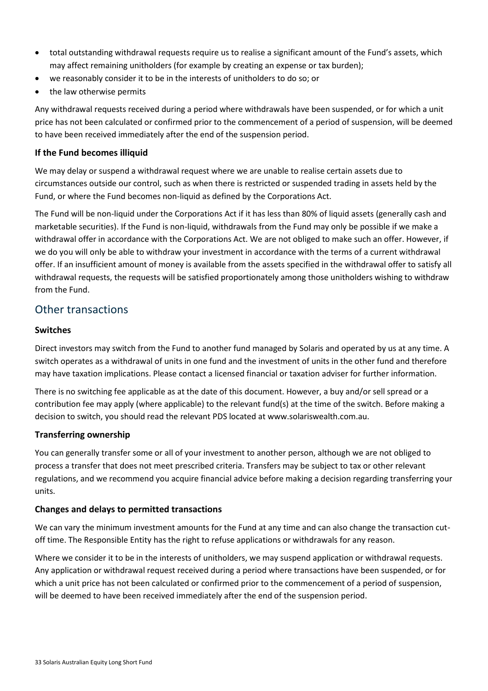- total outstanding withdrawal requests require us to realise a significant amount of the Fund's assets, which may affect remaining unitholders (for example by creating an expense or tax burden);
- we reasonably consider it to be in the interests of unitholders to do so; or
- the law otherwise permits

Any withdrawal requests received during a period where withdrawals have been suspended, or for which a unit price has not been calculated or confirmed prior to the commencement of a period of suspension, will be deemed to have been received immediately after the end of the suspension period.

### **If the Fund becomes illiquid**

We may delay or suspend a withdrawal request where we are unable to realise certain assets due to circumstances outside our control, such as when there is restricted or suspended trading in assets held by the Fund, or where the Fund becomes non-liquid as defined by the Corporations Act.

The Fund will be non-liquid under the Corporations Act if it has less than 80% of liquid assets (generally cash and marketable securities). If the Fund is non-liquid, withdrawals from the Fund may only be possible if we make a withdrawal offer in accordance with the Corporations Act. We are not obliged to make such an offer. However, if we do you will only be able to withdraw your investment in accordance with the terms of a current withdrawal offer. If an insufficient amount of money is available from the assets specified in the withdrawal offer to satisfy all withdrawal requests, the requests will be satisfied proportionately among those unitholders wishing to withdraw from the Fund.

## Other transactions

### **Switches**

Direct investors may switch from the Fund to another fund managed by Solaris and operated by us at any time. A switch operates as a withdrawal of units in one fund and the investment of units in the other fund and therefore may have taxation implications. Please contact a licensed financial or taxation adviser for further information.

There is no switching fee applicable as at the date of this document. However, a buy and/or sell spread or a contribution fee may apply (where applicable) to the relevant fund(s) at the time of the switch. Before making a decision to switch, you should read the relevant PDS located at www.solariswealth.com.au.

### **Transferring ownership**

You can generally transfer some or all of your investment to another person, although we are not obliged to process a transfer that does not meet prescribed criteria. Transfers may be subject to tax or other relevant regulations, and we recommend you acquire financial advice before making a decision regarding transferring your units.

### **Changes and delays to permitted transactions**

We can vary the minimum investment amounts for the Fund at any time and can also change the transaction cutoff time. The Responsible Entity has the right to refuse applications or withdrawals for any reason.

Where we consider it to be in the interests of unitholders, we may suspend application or withdrawal requests. Any application or withdrawal request received during a period where transactions have been suspended, or for which a unit price has not been calculated or confirmed prior to the commencement of a period of suspension, will be deemed to have been received immediately after the end of the suspension period.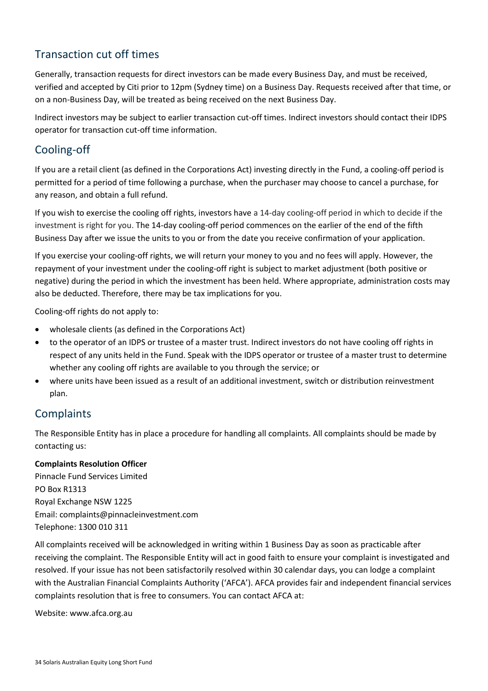# Transaction cut off times

Generally, transaction requests for direct investors can be made every Business Day, and must be received, verified and accepted by Citi prior to 12pm (Sydney time) on a Business Day. Requests received after that time, or on a non-Business Day, will be treated as being received on the next Business Day.

Indirect investors may be subject to earlier transaction cut-off times. Indirect investors should contact their IDPS operator for transaction cut-off time information.

## Cooling-off

If you are a retail client (as defined in the Corporations Act) investing directly in the Fund, a cooling-off period is permitted for a period of time following a purchase, when the purchaser may choose to cancel a purchase, for any reason, and obtain a full refund.

If you wish to exercise the cooling off rights, investors have a 14-day cooling-off period in which to decide if the investment is right for you. The 14-day cooling-off period commences on the earlier of the end of the fifth Business Day after we issue the units to you or from the date you receive confirmation of your application.

If you exercise your cooling-off rights, we will return your money to you and no fees will apply. However, the repayment of your investment under the cooling-off right is subject to market adjustment (both positive or negative) during the period in which the investment has been held. Where appropriate, administration costs may also be deducted. Therefore, there may be tax implications for you.

Cooling-off rights do not apply to:

- wholesale clients (as defined in the Corporations Act)
- to the operator of an IDPS or trustee of a master trust. Indirect investors do not have cooling off rights in respect of any units held in the Fund. Speak with the IDPS operator or trustee of a master trust to determine whether any cooling off rights are available to you through the service; or
- where units have been issued as a result of an additional investment, switch or distribution reinvestment plan.

## **Complaints**

The Responsible Entity has in place a procedure for handling all complaints. All complaints should be made by contacting us:

### **Complaints Resolution Officer**

Pinnacle Fund Services Limited PO Box R1313 Royal Exchange NSW 1225 Email: complaints@pinnacleinvestment.com Telephone: 1300 010 311

All complaints received will be acknowledged in writing within 1 Business Day as soon as practicable after receiving the complaint. The Responsible Entity will act in good faith to ensure your complaint is investigated and resolved. If your issue has not been satisfactorily resolved within 30 calendar days, you can lodge a complaint with the Australian Financial Complaints Authority ('AFCA'). AFCA provides fair and independent financial services complaints resolution that is free to consumers. You can contact AFCA at:

Website: www.afca.org.au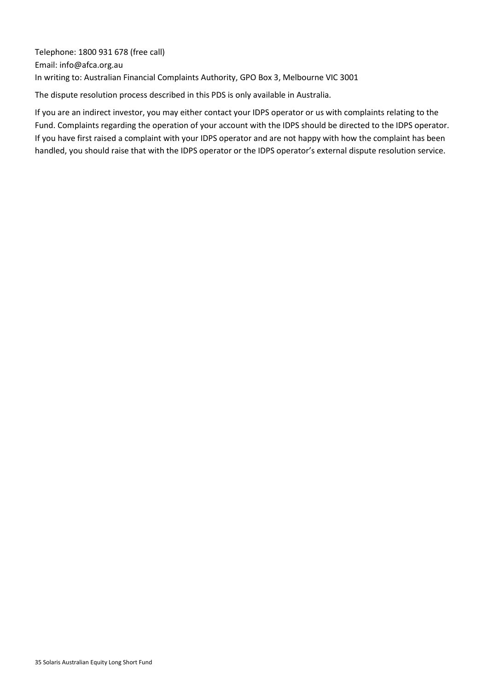Telephone: 1800 931 678 (free call) Email: info@afca.org.au In writing to: Australian Financial Complaints Authority, GPO Box 3, Melbourne VIC 3001

The dispute resolution process described in this PDS is only available in Australia.

If you are an indirect investor, you may either contact your IDPS operator or us with complaints relating to the Fund. Complaints regarding the operation of your account with the IDPS should be directed to the IDPS operator. If you have first raised a complaint with your IDPS operator and are not happy with how the complaint has been handled, you should raise that with the IDPS operator or the IDPS operator's external dispute resolution service.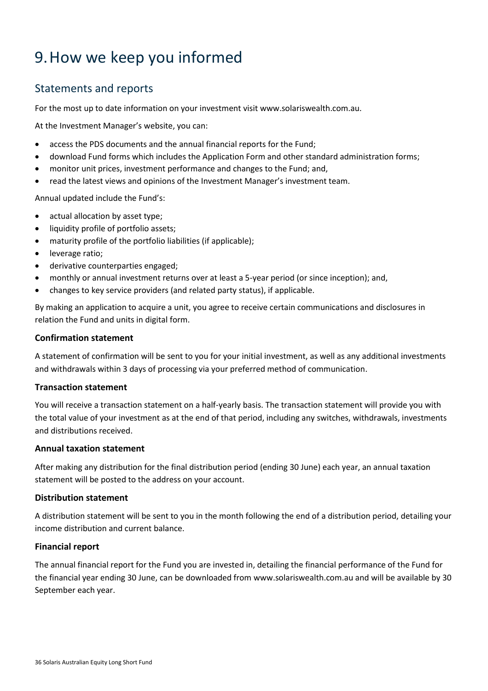# <span id="page-38-0"></span>9.How we keep you informed

## Statements and reports

For the most up to date information on your investment visit www.solariswealth.com.au.

At the Investment Manager's website, you can:

- access the PDS documents and the annual financial reports for the Fund;
- download Fund forms which includes the Application Form and other standard administration forms;
- monitor unit prices, investment performance and changes to the Fund; and,
- read the latest views and opinions of the Investment Manager's investment team.

Annual updated include the Fund's:

- actual allocation by asset type;
- liquidity profile of portfolio assets;
- maturity profile of the portfolio liabilities (if applicable);
- leverage ratio;
- derivative counterparties engaged;
- monthly or annual investment returns over at least a 5-year period (or since inception); and,
- changes to key service providers (and related party status), if applicable.

By making an application to acquire a unit, you agree to receive certain communications and disclosures in relation the Fund and units in digital form.

#### **Confirmation statement**

A statement of confirmation will be sent to you for your initial investment, as well as any additional investments and withdrawals within 3 days of processing via your preferred method of communication.

#### **Transaction statement**

You will receive a transaction statement on a half-yearly basis. The transaction statement will provide you with the total value of your investment as at the end of that period, including any switches, withdrawals, investments and distributions received.

#### **Annual taxation statement**

After making any distribution for the final distribution period (ending 30 June) each year, an annual taxation statement will be posted to the address on your account.

#### **Distribution statement**

A distribution statement will be sent to you in the month following the end of a distribution period, detailing your income distribution and current balance.

#### **Financial report**

The annual financial report for the Fund you are invested in, detailing the financial performance of the Fund for the financial year ending 30 June, can be downloaded from www.solariswealth.com.au and will be available by 30 September each year.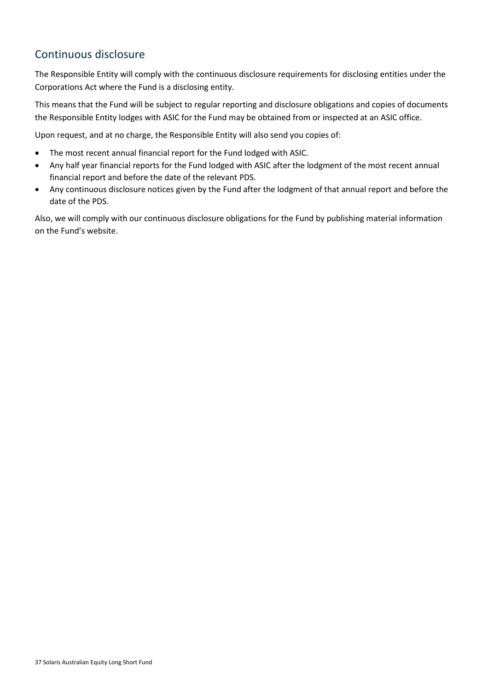# <span id="page-39-0"></span>Continuous disclosure

The Responsible Entity will comply with the continuous disclosure requirements for disclosing entities under the Corporations Act where the Fund is a disclosing entity.

This means that the Fund will be subject to regular reporting and disclosure obligations and copies of documents the Responsible Entity lodges with ASIC for the Fund may be obtained from or inspected at an ASIC office.

Upon request, and at no charge, the Responsible Entity will also send you copies of:

- The most recent annual financial report for the Fund lodged with ASIC.
- Any half year financial reports for the Fund lodged with ASIC after the lodgment of the most recent annual financial report and before the date of the relevant PDS.
- Any continuous disclosure notices given by the Fund after the lodgment of that annual report and before the date of the PDS.

Also, we will comply with our continuous disclosure obligations for the Fund by publishing material information on the Fund's website.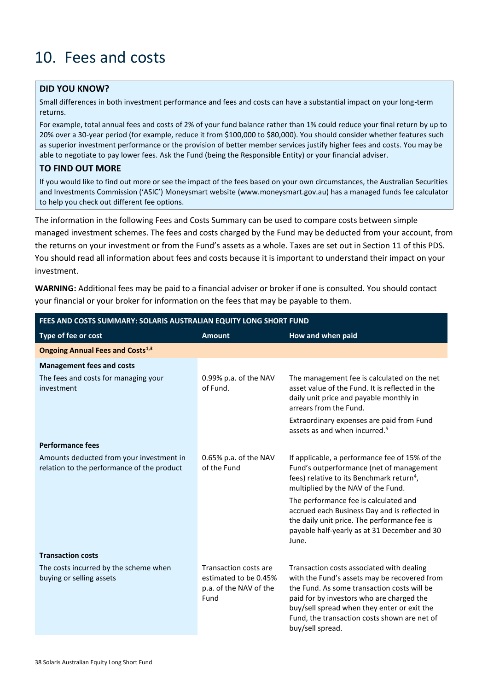# <span id="page-40-0"></span>10. Fees and costs

### **DID YOU KNOW?**

Small differences in both investment performance and fees and costs can have a substantial impact on your long-term returns.

For example, total annual fees and costs of 2% of your fund balance rather than 1% could reduce your final return by up to 20% over a 30-year period (for example, reduce it from \$100,000 to \$80,000). You should consider whether features such as superior investment performance or the provision of better member services justify higher fees and costs. You may be able to negotiate to pay lower fees. Ask the Fund (being the Responsible Entity) or your financial adviser.

#### **TO FIND OUT MORE**

If you would like to find out more or see the impact of the fees based on your own circumstances, the Australian Securities and Investments Commission ('ASIC') Moneysmart website (www.moneysmart.gov.au) has a managed funds fee calculator to help you check out different fee options.

The information in the following Fees and Costs Summary can be used to compare costs between simple managed investment schemes. The fees and costs charged by the Fund may be deducted from your account, from the returns on your investment or from the Fund's assets as a whole. Taxes are set out in Section [11](#page-47-0) of this PDS. You should read all information about fees and costs because it is important to understand their impact on your investment.

**WARNING:** Additional fees may be paid to a financial adviser or broker if one is consulted. You should contact your financial or your broker for information on the fees that may be payable to them.

| FEES AND COSTS SUMMARY: SOLARIS AUSTRALIAN EQUITY LONG SHORT FUND                      |                                                                                  |                                                                                                                                                                                                                                                                                                          |  |
|----------------------------------------------------------------------------------------|----------------------------------------------------------------------------------|----------------------------------------------------------------------------------------------------------------------------------------------------------------------------------------------------------------------------------------------------------------------------------------------------------|--|
| Type of fee or cost                                                                    | <b>Amount</b>                                                                    | How and when paid                                                                                                                                                                                                                                                                                        |  |
| <b>Ongoing Annual Fees and Costs</b> <sup>1,3</sup>                                    |                                                                                  |                                                                                                                                                                                                                                                                                                          |  |
| <b>Management fees and costs</b>                                                       |                                                                                  |                                                                                                                                                                                                                                                                                                          |  |
| The fees and costs for managing your<br>investment                                     | 0.99% p.a. of the NAV<br>of Fund.                                                | The management fee is calculated on the net<br>asset value of the Fund. It is reflected in the<br>daily unit price and payable monthly in<br>arrears from the Fund.                                                                                                                                      |  |
|                                                                                        |                                                                                  | Extraordinary expenses are paid from Fund<br>assets as and when incurred. <sup>5</sup>                                                                                                                                                                                                                   |  |
| <b>Performance fees</b>                                                                |                                                                                  |                                                                                                                                                                                                                                                                                                          |  |
| Amounts deducted from your investment in<br>relation to the performance of the product | 0.65% p.a. of the NAV<br>of the Fund                                             | If applicable, a performance fee of 15% of the<br>Fund's outperformance (net of management<br>fees) relative to its Benchmark return <sup>4</sup> ,<br>multiplied by the NAV of the Fund.                                                                                                                |  |
|                                                                                        |                                                                                  | The performance fee is calculated and<br>accrued each Business Day and is reflected in<br>the daily unit price. The performance fee is<br>payable half-yearly as at 31 December and 30<br>June.                                                                                                          |  |
| <b>Transaction costs</b>                                                               |                                                                                  |                                                                                                                                                                                                                                                                                                          |  |
| The costs incurred by the scheme when<br>buying or selling assets                      | Transaction costs are<br>estimated to be 0.45%<br>p.a. of the NAV of the<br>Fund | Transaction costs associated with dealing<br>with the Fund's assets may be recovered from<br>the Fund. As some transaction costs will be<br>paid for by investors who are charged the<br>buy/sell spread when they enter or exit the<br>Fund, the transaction costs shown are net of<br>buy/sell spread. |  |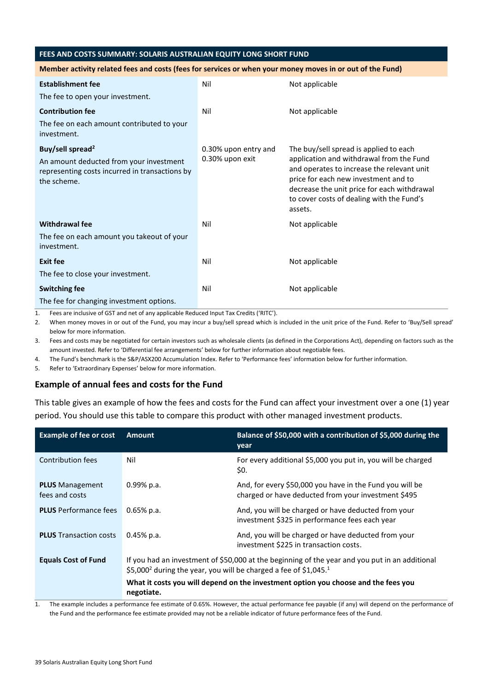#### **FEES AND COSTS SUMMARY: SOLARIS AUSTRALIAN EQUITY LONG SHORT FUND**

#### **Member activity related fees and costs (fees for services or when your money moves in or out of the Fund)**

| <b>Establishment fee</b>                                                                                 | Nil                  | Not applicable                                                                                                                                                                                                                        |  |
|----------------------------------------------------------------------------------------------------------|----------------------|---------------------------------------------------------------------------------------------------------------------------------------------------------------------------------------------------------------------------------------|--|
| The fee to open your investment.                                                                         |                      |                                                                                                                                                                                                                                       |  |
| <b>Contribution fee</b>                                                                                  | Nil                  | Not applicable                                                                                                                                                                                                                        |  |
| The fee on each amount contributed to your<br>investment.                                                |                      |                                                                                                                                                                                                                                       |  |
| Buy/sell spread <sup>2</sup>                                                                             | 0.30% upon entry and | The buy/sell spread is applied to each                                                                                                                                                                                                |  |
| An amount deducted from your investment<br>representing costs incurred in transactions by<br>the scheme. | 0.30% upon exit      | application and withdrawal from the Fund<br>and operates to increase the relevant unit<br>price for each new investment and to<br>decrease the unit price for each withdrawal<br>to cover costs of dealing with the Fund's<br>assets. |  |
| <b>Withdrawal fee</b>                                                                                    | Nil                  | Not applicable                                                                                                                                                                                                                        |  |
| The fee on each amount you takeout of your<br>investment.                                                |                      |                                                                                                                                                                                                                                       |  |
| <b>Exit fee</b>                                                                                          | Nil                  | Not applicable                                                                                                                                                                                                                        |  |
| The fee to close your investment.                                                                        |                      |                                                                                                                                                                                                                                       |  |
| <b>Switching fee</b>                                                                                     | Nil                  | Not applicable                                                                                                                                                                                                                        |  |
| The fee for changing investment options.                                                                 |                      |                                                                                                                                                                                                                                       |  |

1. Fees are inclusive of GST and net of any applicable Reduced Input Tax Credits ('RITC').

2. When money moves in or out of the Fund, you may incur a buy/sell spread which is included in the unit price of the Fund. Refer to 'Buy/Sell spread' below for more information.

3. Fees and costs may be negotiated for certain investors such as wholesale clients (as defined in the Corporations Act), depending on factors such as the amount invested. Refer to 'Differential fee arrangements' below for further information about negotiable fees.

4. The Fund's benchmark is the S&P/ASX200 Accumulation Index. Refer to 'Performance fees' information below for further information.

5. Refer to 'Extraordinary Expenses' below for more information.

#### **Example of annual fees and costs for the Fund**

This table gives an example of how the fees and costs for the Fund can affect your investment over a one (1) year period. You should use this table to compare this product with other managed investment products.

| <b>Example of fee or cost</b>            | <b>Amount</b>                                                                                                                                                                              | Balance of \$50,000 with a contribution of \$5,000 during the<br>year                                           |
|------------------------------------------|--------------------------------------------------------------------------------------------------------------------------------------------------------------------------------------------|-----------------------------------------------------------------------------------------------------------------|
| Contribution fees                        | Nil                                                                                                                                                                                        | For every additional \$5,000 you put in, you will be charged<br>\$0.                                            |
| <b>PLUS</b> Management<br>fees and costs | $0.99\%$ p.a.                                                                                                                                                                              | And, for every \$50,000 you have in the Fund you will be<br>charged or have deducted from your investment \$495 |
| <b>PLUS</b> Performance fees             | $0.65\%$ p.a.                                                                                                                                                                              | And, you will be charged or have deducted from your<br>investment \$325 in performance fees each year           |
| <b>PLUS</b> Transaction costs            | $0.45%$ p.a.                                                                                                                                                                               | And, you will be charged or have deducted from your<br>investment \$225 in transaction costs.                   |
| <b>Equals Cost of Fund</b>               | If you had an investment of \$50,000 at the beginning of the year and you put in an additional<br>\$5,000 <sup>2</sup> during the year, you will be charged a fee of \$1,045. <sup>1</sup> |                                                                                                                 |
|                                          | What it costs you will depend on the investment option you choose and the fees you<br>negotiate.                                                                                           |                                                                                                                 |

1. The example includes a performance fee estimate of 0.65%. However, the actual performance fee payable (if any) will depend on the performance of the Fund and the performance fee estimate provided may not be a reliable indicator of future performance fees of the Fund.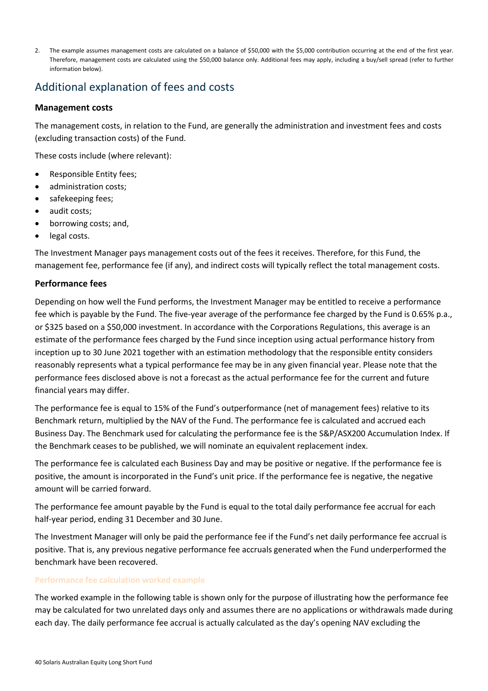2. The example assumes management costs are calculated on a balance of \$50,000 with the \$5,000 contribution occurring at the end of the first year. Therefore, management costs are calculated using the \$50,000 balance only. Additional fees may apply, including a buy/sell spread (refer to further information below).

# Additional explanation of fees and costs

### **Management costs**

The management costs, in relation to the Fund, are generally the administration and investment fees and costs (excluding transaction costs) of the Fund.

These costs include (where relevant):

- Responsible Entity fees;
- administration costs:
- safekeeping fees;
- audit costs;
- borrowing costs; and,
- legal costs.

The Investment Manager pays management costs out of the fees it receives. Therefore, for this Fund, the management fee, performance fee (if any), and indirect costs will typically reflect the total management costs.

### **Performance fees**

Depending on how well the Fund performs, the Investment Manager may be entitled to receive a performance fee which is payable by the Fund. The five-year average of the performance fee charged by the Fund is 0.65% p.a., or \$325 based on a \$50,000 investment. In accordance with the Corporations Regulations, this average is an estimate of the performance fees charged by the Fund since inception using actual performance history from inception up to 30 June 2021 together with an estimation methodology that the responsible entity considers reasonably represents what a typical performance fee may be in any given financial year. Please note that the performance fees disclosed above is not a forecast as the actual performance fee for the current and future financial years may differ.

The performance fee is equal to 15% of the Fund's outperformance (net of management fees) relative to its Benchmark return, multiplied by the NAV of the Fund. The performance fee is calculated and accrued each Business Day. The Benchmark used for calculating the performance fee is the S&P/ASX200 Accumulation Index. If the Benchmark ceases to be published, we will nominate an equivalent replacement index.

The performance fee is calculated each Business Day and may be positive or negative. If the performance fee is positive, the amount is incorporated in the Fund's unit price. If the performance fee is negative, the negative amount will be carried forward.

The performance fee amount payable by the Fund is equal to the total daily performance fee accrual for each half-year period, ending 31 December and 30 June.

The Investment Manager will only be paid the performance fee if the Fund's net daily performance fee accrual is positive. That is, any previous negative performance fee accruals generated when the Fund underperformed the benchmark have been recovered.

### **Performance fee calculation worked example**

The worked example in the following table is shown only for the purpose of illustrating how the performance fee may be calculated for two unrelated days only and assumes there are no applications or withdrawals made during each day. The daily performance fee accrual is actually calculated as the day's opening NAV excluding the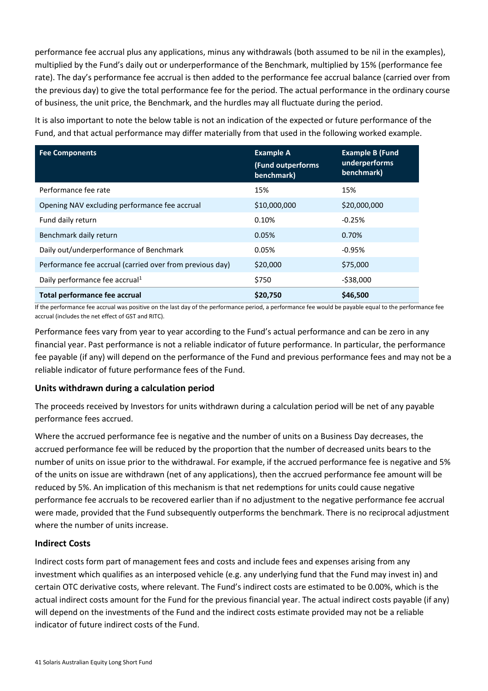performance fee accrual plus any applications, minus any withdrawals (both assumed to be nil in the examples), multiplied by the Fund's daily out or underperformance of the Benchmark, multiplied by 15% (performance fee rate). The day's performance fee accrual is then added to the performance fee accrual balance (carried over from the previous day) to give the total performance fee for the period. The actual performance in the ordinary course of business, the unit price, the Benchmark, and the hurdles may all fluctuate during the period.

It is also important to note the below table is not an indication of the expected or future performance of the Fund, and that actual performance may differ materially from that used in the following worked example.

| <b>Fee Components</b>                                    | <b>Example A</b><br>(Fund outperforms<br>benchmark) | <b>Example B (Fund</b><br>underperforms<br>benchmark) |
|----------------------------------------------------------|-----------------------------------------------------|-------------------------------------------------------|
| Performance fee rate                                     | 15%                                                 | 15%                                                   |
| Opening NAV excluding performance fee accrual            | \$10,000,000                                        | \$20,000,000                                          |
| Fund daily return                                        | 0.10%                                               | $-0.25%$                                              |
| Benchmark daily return                                   | 0.05%                                               | 0.70%                                                 |
| Daily out/underperformance of Benchmark                  | 0.05%                                               | $-0.95%$                                              |
| Performance fee accrual (carried over from previous day) | \$20,000                                            | \$75,000                                              |
| Daily performance fee accrual <sup>1</sup>               | \$750                                               | $-538,000$                                            |
| Total performance fee accrual                            | \$20,750                                            | \$46,500                                              |

If the performance fee accrual was positive on the last day of the performance period, a performance fee would be payable equal to the performance fee accrual (includes the net effect of GST and RITC).

Performance fees vary from year to year according to the Fund's actual performance and can be zero in any financial year. Past performance is not a reliable indicator of future performance. In particular, the performance fee payable (if any) will depend on the performance of the Fund and previous performance fees and may not be a reliable indicator of future performance fees of the Fund.

### **Units withdrawn during a calculation period**

The proceeds received by Investors for units withdrawn during a calculation period will be net of any payable performance fees accrued.

Where the accrued performance fee is negative and the number of units on a Business Day decreases, the accrued performance fee will be reduced by the proportion that the number of decreased units bears to the number of units on issue prior to the withdrawal. For example, if the accrued performance fee is negative and 5% of the units on issue are withdrawn (net of any applications), then the accrued performance fee amount will be reduced by 5%. An implication of this mechanism is that net redemptions for units could cause negative performance fee accruals to be recovered earlier than if no adjustment to the negative performance fee accrual were made, provided that the Fund subsequently outperforms the benchmark. There is no reciprocal adjustment where the number of units increase.

### **Indirect Costs**

Indirect costs form part of management fees and costs and include fees and expenses arising from any investment which qualifies as an interposed vehicle (e.g. any underlying fund that the Fund may invest in) and certain OTC derivative costs, where relevant. The Fund's indirect costs are estimated to be 0.00%, which is the actual indirect costs amount for the Fund for the previous financial year. The actual indirect costs payable (if any) will depend on the investments of the Fund and the indirect costs estimate provided may not be a reliable indicator of future indirect costs of the Fund.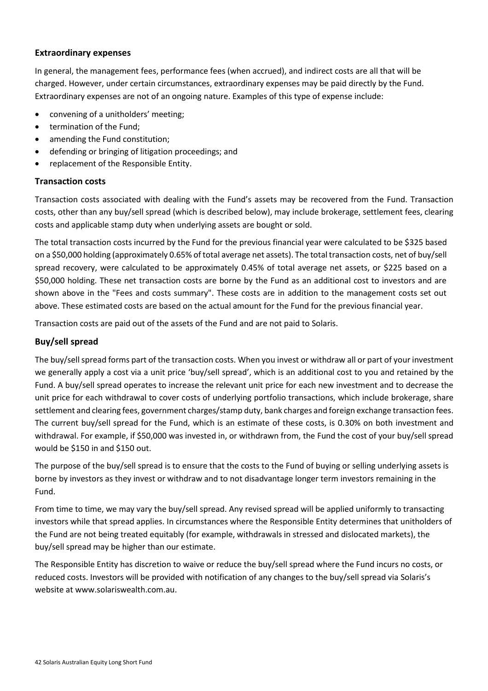#### **Extraordinary expenses**

In general, the management fees, performance fees (when accrued), and indirect costs are all that will be charged. However, under certain circumstances, extraordinary expenses may be paid directly by the Fund. Extraordinary expenses are not of an ongoing nature. Examples of this type of expense include:

- convening of a unitholders' meeting;
- termination of the Fund;
- amending the Fund constitution;
- defending or bringing of litigation proceedings; and
- replacement of the Responsible Entity.

#### **Transaction costs**

Transaction costs associated with dealing with the Fund's assets may be recovered from the Fund. Transaction costs, other than any buy/sell spread (which is described below), may include brokerage, settlement fees, clearing costs and applicable stamp duty when underlying assets are bought or sold.

The total transaction costs incurred by the Fund for the previous financial year were calculated to be \$325 based on a \$50,000 holding (approximately 0.65% of total average net assets). The total transaction costs, net of buy/sell spread recovery, were calculated to be approximately 0.45% of total average net assets, or \$225 based on a \$50,000 holding. These net transaction costs are borne by the Fund as an additional cost to investors and are shown above in the "Fees and costs summary". These costs are in addition to the management costs set out above. These estimated costs are based on the actual amount for the Fund for the previous financial year.

Transaction costs are paid out of the assets of the Fund and are not paid to Solaris.

#### **Buy/sell spread**

The buy/sell spread forms part of the transaction costs. When you invest or withdraw all or part of your investment we generally apply a cost via a unit price 'buy/sell spread', which is an additional cost to you and retained by the Fund. A buy/sell spread operates to increase the relevant unit price for each new investment and to decrease the unit price for each withdrawal to cover costs of underlying portfolio transactions, which include brokerage, share settlement and clearing fees, government charges/stamp duty, bank charges and foreign exchange transaction fees. The current buy/sell spread for the Fund, which is an estimate of these costs, is 0.30% on both investment and withdrawal. For example, if \$50,000 was invested in, or withdrawn from, the Fund the cost of your buy/sell spread would be \$150 in and \$150 out.

The purpose of the buy/sell spread is to ensure that the costs to the Fund of buying or selling underlying assets is borne by investors as they invest or withdraw and to not disadvantage longer term investors remaining in the Fund.

From time to time, we may vary the buy/sell spread. Any revised spread will be applied uniformly to transacting investors while that spread applies. In circumstances where the Responsible Entity determines that unitholders of the Fund are not being treated equitably (for example, withdrawals in stressed and dislocated markets), the buy/sell spread may be higher than our estimate.

The Responsible Entity has discretion to waive or reduce the buy/sell spread where the Fund incurs no costs, or reduced costs. Investors will be provided with notification of any changes to the buy/sell spread via Solaris's website at www.solariswealth.com.au.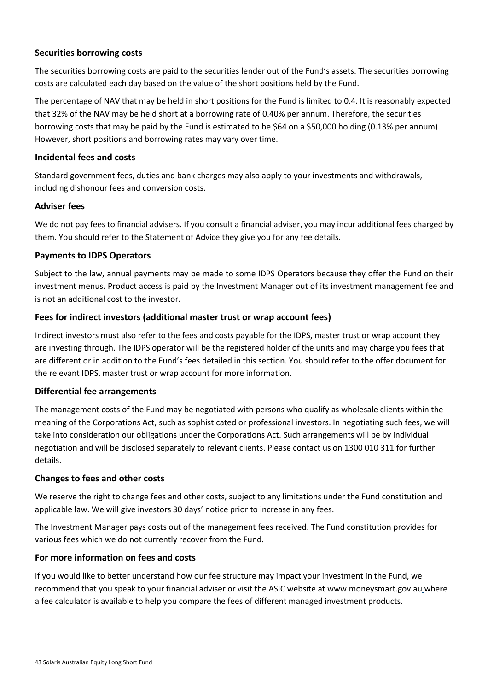### **Securities borrowing costs**

The securities borrowing costs are paid to the securities lender out of the Fund's assets. The securities borrowing costs are calculated each day based on the value of the short positions held by the Fund.

The percentage of NAV that may be held in short positions for the Fund is limited to 0.4. It is reasonably expected that 32% of the NAV may be held short at a borrowing rate of 0.40% per annum. Therefore, the securities borrowing costs that may be paid by the Fund is estimated to be \$64 on a \$50,000 holding (0.13% per annum). However, short positions and borrowing rates may vary over time.

#### **Incidental fees and costs**

Standard government fees, duties and bank charges may also apply to your investments and withdrawals, including dishonour fees and conversion costs.

#### **Adviser fees**

We do not pay fees to financial advisers. If you consult a financial adviser, you may incur additional fees charged by them. You should refer to the Statement of Advice they give you for any fee details.

#### **Payments to IDPS Operators**

Subject to the law, annual payments may be made to some IDPS Operators because they offer the Fund on their investment menus. Product access is paid by the Investment Manager out of its investment management fee and is not an additional cost to the investor.

#### **Fees for indirect investors (additional master trust or wrap account fees)**

Indirect investors must also refer to the fees and costs payable for the IDPS, master trust or wrap account they are investing through. The IDPS operator will be the registered holder of the units and may charge you fees that are different or in addition to the Fund's fees detailed in this section. You should refer to the offer document for the relevant IDPS, master trust or wrap account for more information.

#### **Differential fee arrangements**

The management costs of the Fund may be negotiated with persons who qualify as wholesale clients within the meaning of the Corporations Act, such as sophisticated or professional investors. In negotiating such fees, we will take into consideration our obligations under the Corporations Act. Such arrangements will be by individual negotiation and will be disclosed separately to relevant clients. Please contact us on 1300 010 311 for further details.

#### **Changes to fees and other costs**

We reserve the right to change fees and other costs, subject to any limitations under the Fund constitution and applicable law. We will give investors 30 days' notice prior to increase in any fees.

The Investment Manager pays costs out of the management fees received. The Fund constitution provides for various fees which we do not currently recover from the Fund.

#### **For more information on fees and costs**

If you would like to better understand how our fee structure may impact your investment in the Fund, we recommend that you speak to your financial adviser or visit the ASIC website at www.moneysmart.gov.au where a fee calculator is available to help you compare the fees of different managed investment products.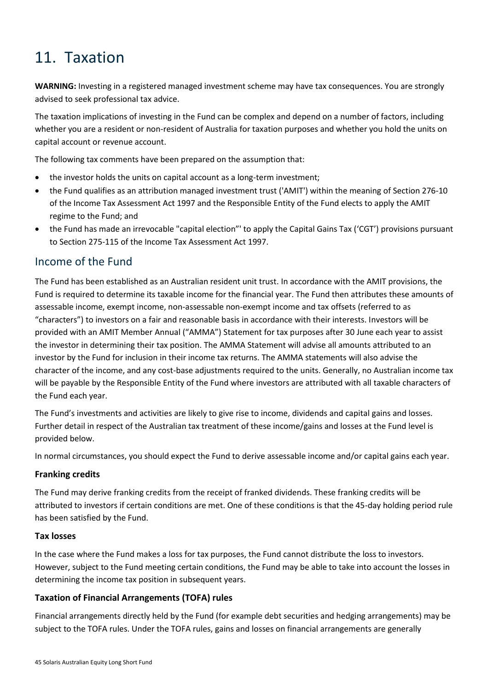# <span id="page-47-0"></span>11. Taxation

**WARNING:** Investing in a registered managed investment scheme may have tax consequences. You are strongly advised to seek professional tax advice.

The taxation implications of investing in the Fund can be complex and depend on a number of factors, including whether you are a resident or non-resident of Australia for taxation purposes and whether you hold the units on capital account or revenue account.

The following tax comments have been prepared on the assumption that:

- the investor holds the units on capital account as a long-term investment;
- the Fund qualifies as an attribution managed investment trust ('AMIT') within the meaning of Section 276-10 of the Income Tax Assessment Act 1997 and the Responsible Entity of the Fund elects to apply the AMIT regime to the Fund; and
- the Fund has made an irrevocable "capital election"' to apply the Capital Gains Tax ('CGT') provisions pursuant to Section 275-115 of the Income Tax Assessment Act 1997.

### Income of the Fund

The Fund has been established as an Australian resident unit trust. In accordance with the AMIT provisions, the Fund is required to determine its taxable income for the financial year. The Fund then attributes these amounts of assessable income, exempt income, non-assessable non-exempt income and tax offsets (referred to as "characters") to investors on a fair and reasonable basis in accordance with their interests. Investors will be provided with an AMIT Member Annual ("AMMA") Statement for tax purposes after 30 June each year to assist the investor in determining their tax position. The AMMA Statement will advise all amounts attributed to an investor by the Fund for inclusion in their income tax returns. The AMMA statements will also advise the character of the income, and any cost-base adjustments required to the units. Generally, no Australian income tax will be payable by the Responsible Entity of the Fund where investors are attributed with all taxable characters of the Fund each year.

The Fund's investments and activities are likely to give rise to income, dividends and capital gains and losses. Further detail in respect of the Australian tax treatment of these income/gains and losses at the Fund level is provided below.

In normal circumstances, you should expect the Fund to derive assessable income and/or capital gains each year.

### **Franking credits**

The Fund may derive franking credits from the receipt of franked dividends. These franking credits will be attributed to investors if certain conditions are met. One of these conditions is that the 45-day holding period rule has been satisfied by the Fund.

### **Tax losses**

In the case where the Fund makes a loss for tax purposes, the Fund cannot distribute the loss to investors. However, subject to the Fund meeting certain conditions, the Fund may be able to take into account the losses in determining the income tax position in subsequent years.

### **Taxation of Financial Arrangements (TOFA) rules**

Financial arrangements directly held by the Fund (for example debt securities and hedging arrangements) may be subject to the TOFA rules. Under the TOFA rules, gains and losses on financial arrangements are generally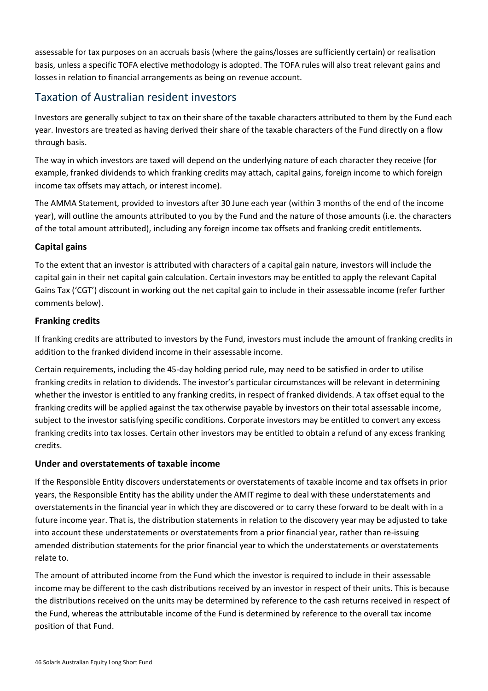assessable for tax purposes on an accruals basis (where the gains/losses are sufficiently certain) or realisation basis, unless a specific TOFA elective methodology is adopted. The TOFA rules will also treat relevant gains and losses in relation to financial arrangements as being on revenue account.

# Taxation of Australian resident investors

Investors are generally subject to tax on their share of the taxable characters attributed to them by the Fund each year. Investors are treated as having derived their share of the taxable characters of the Fund directly on a flow through basis.

The way in which investors are taxed will depend on the underlying nature of each character they receive (for example, franked dividends to which franking credits may attach, capital gains, foreign income to which foreign income tax offsets may attach, or interest income).

The AMMA Statement, provided to investors after 30 June each year (within 3 months of the end of the income year), will outline the amounts attributed to you by the Fund and the nature of those amounts (i.e. the characters of the total amount attributed), including any foreign income tax offsets and franking credit entitlements.

### **Capital gains**

To the extent that an investor is attributed with characters of a capital gain nature, investors will include the capital gain in their net capital gain calculation. Certain investors may be entitled to apply the relevant Capital Gains Tax ('CGT') discount in working out the net capital gain to include in their assessable income (refer further comments below).

### **Franking credits**

If franking credits are attributed to investors by the Fund, investors must include the amount of franking credits in addition to the franked dividend income in their assessable income.

Certain requirements, including the 45-day holding period rule, may need to be satisfied in order to utilise franking credits in relation to dividends. The investor's particular circumstances will be relevant in determining whether the investor is entitled to any franking credits, in respect of franked dividends. A tax offset equal to the franking credits will be applied against the tax otherwise payable by investors on their total assessable income, subject to the investor satisfying specific conditions. Corporate investors may be entitled to convert any excess franking credits into tax losses. Certain other investors may be entitled to obtain a refund of any excess franking credits.

### **Under and overstatements of taxable income**

If the Responsible Entity discovers understatements or overstatements of taxable income and tax offsets in prior years, the Responsible Entity has the ability under the AMIT regime to deal with these understatements and overstatements in the financial year in which they are discovered or to carry these forward to be dealt with in a future income year. That is, the distribution statements in relation to the discovery year may be adjusted to take into account these understatements or overstatements from a prior financial year, rather than re-issuing amended distribution statements for the prior financial year to which the understatements or overstatements relate to.

The amount of attributed income from the Fund which the investor is required to include in their assessable income may be different to the cash distributions received by an investor in respect of their units. This is because the distributions received on the units may be determined by reference to the cash returns received in respect of the Fund, whereas the attributable income of the Fund is determined by reference to the overall tax income position of that Fund.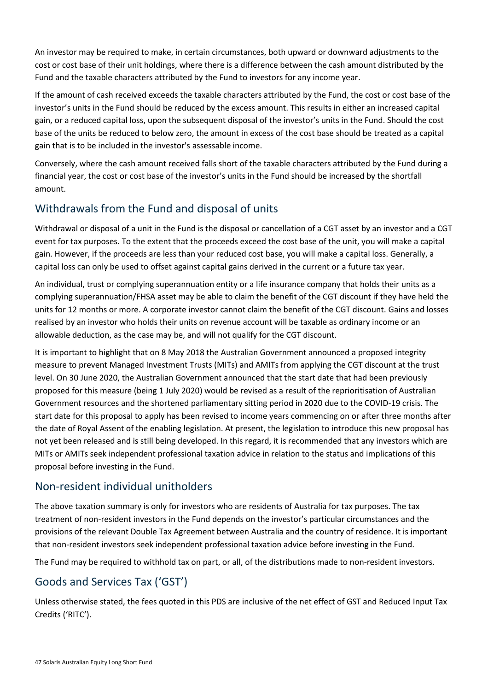An investor may be required to make, in certain circumstances, both upward or downward adjustments to the cost or cost base of their unit holdings, where there is a difference between the cash amount distributed by the Fund and the taxable characters attributed by the Fund to investors for any income year.

If the amount of cash received exceeds the taxable characters attributed by the Fund, the cost or cost base of the investor's units in the Fund should be reduced by the excess amount. This results in either an increased capital gain, or a reduced capital loss, upon the subsequent disposal of the investor's units in the Fund. Should the cost base of the units be reduced to below zero, the amount in excess of the cost base should be treated as a capital gain that is to be included in the investor's assessable income.

Conversely, where the cash amount received falls short of the taxable characters attributed by the Fund during a financial year, the cost or cost base of the investor's units in the Fund should be increased by the shortfall amount.

# Withdrawals from the Fund and disposal of units

Withdrawal or disposal of a unit in the Fund is the disposal or cancellation of a CGT asset by an investor and a CGT event for tax purposes. To the extent that the proceeds exceed the cost base of the unit, you will make a capital gain. However, if the proceeds are less than your reduced cost base, you will make a capital loss. Generally, a capital loss can only be used to offset against capital gains derived in the current or a future tax year.

An individual, trust or complying superannuation entity or a life insurance company that holds their units as a complying superannuation/FHSA asset may be able to claim the benefit of the CGT discount if they have held the units for 12 months or more. A corporate investor cannot claim the benefit of the CGT discount. Gains and losses realised by an investor who holds their units on revenue account will be taxable as ordinary income or an allowable deduction, as the case may be, and will not qualify for the CGT discount.

It is important to highlight that on 8 May 2018 the Australian Government announced a proposed integrity measure to prevent Managed Investment Trusts (MITs) and AMITs from applying the CGT discount at the trust level. On 30 June 2020, the Australian Government announced that the start date that had been previously proposed for this measure (being 1 July 2020) would be revised as a result of the reprioritisation of Australian Government resources and the shortened parliamentary sitting period in 2020 due to the COVID-19 crisis. The start date for this proposal to apply has been revised to income years commencing on or after three months after the date of Royal Assent of the enabling legislation. At present, the legislation to introduce this new proposal has not yet been released and is still being developed. In this regard, it is recommended that any investors which are MITs or AMITs seek independent professional taxation advice in relation to the status and implications of this proposal before investing in the Fund.

# Non-resident individual unitholders

The above taxation summary is only for investors who are residents of Australia for tax purposes. The tax treatment of non-resident investors in the Fund depends on the investor's particular circumstances and the provisions of the relevant Double Tax Agreement between Australia and the country of residence. It is important that non-resident investors seek independent professional taxation advice before investing in the Fund.

The Fund may be required to withhold tax on part, or all, of the distributions made to non-resident investors.

# Goods and Services Tax ('GST')

Unless otherwise stated, the fees quoted in this PDS are inclusive of the net effect of GST and Reduced Input Tax Credits ('RITC').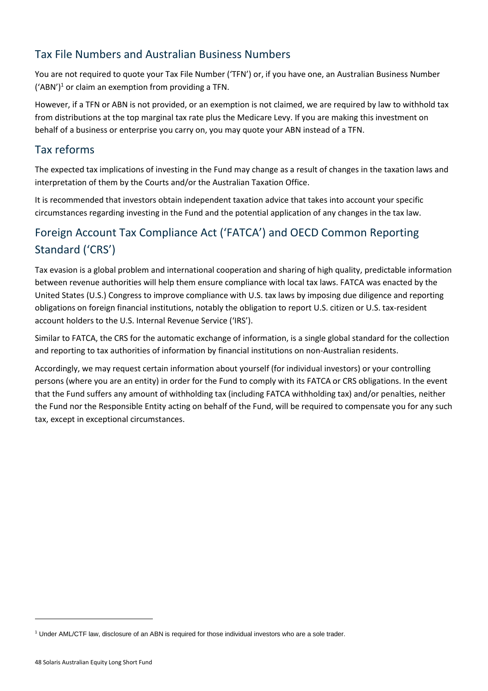# Tax File Numbers and Australian Business Numbers

You are not required to quote your Tax File Number ('TFN') or, if you have one, an Australian Business Number  $('ABN')<sup>1</sup>$  or claim an exemption from providing a TFN.

However, if a TFN or ABN is not provided, or an exemption is not claimed, we are required by law to withhold tax from distributions at the top marginal tax rate plus the Medicare Levy. If you are making this investment on behalf of a business or enterprise you carry on, you may quote your ABN instead of a TFN.

## Tax reforms

The expected tax implications of investing in the Fund may change as a result of changes in the taxation laws and interpretation of them by the Courts and/or the Australian Taxation Office.

It is recommended that investors obtain independent taxation advice that takes into account your specific circumstances regarding investing in the Fund and the potential application of any changes in the tax law.

# Foreign Account Tax Compliance Act ('FATCA') and OECD Common Reporting Standard ('CRS')

Tax evasion is a global problem and international cooperation and sharing of high quality, predictable information between revenue authorities will help them ensure compliance with local tax laws. FATCA was enacted by the United States (U.S.) Congress to improve compliance with U.S. tax laws by imposing due diligence and reporting obligations on foreign financial institutions, notably the obligation to report U.S. citizen or U.S. tax-resident account holders to the U.S. Internal Revenue Service ('IRS').

Similar to FATCA, the CRS for the automatic exchange of information, is a single global standard for the collection and reporting to tax authorities of information by financial institutions on non-Australian residents.

Accordingly, we may request certain information about yourself (for individual investors) or your controlling persons (where you are an entity) in order for the Fund to comply with its FATCA or CRS obligations. In the event that the Fund suffers any amount of withholding tax (including FATCA withholding tax) and/or penalties, neither the Fund nor the Responsible Entity acting on behalf of the Fund, will be required to compensate you for any such tax, except in exceptional circumstances.

<sup>1</sup> Under AML/CTF law, disclosure of an ABN is required for those individual investors who are a sole trader.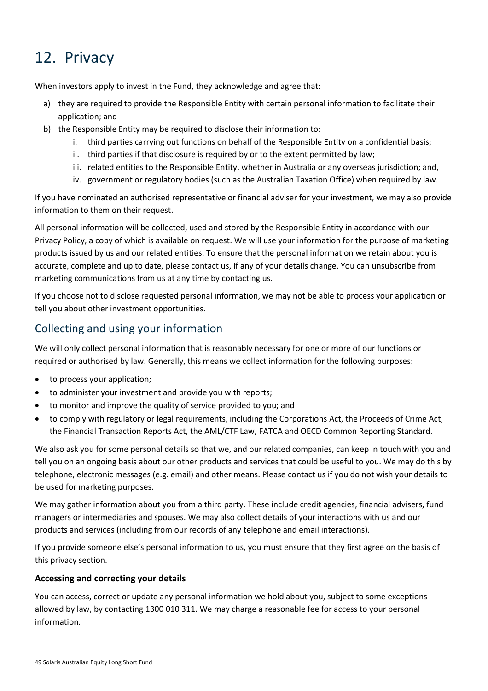# <span id="page-51-0"></span>12. Privacy

When investors apply to invest in the Fund, they acknowledge and agree that:

- a) they are required to provide the Responsible Entity with certain personal information to facilitate their application; and
- b) the Responsible Entity may be required to disclose their information to:
	- i. third parties carrying out functions on behalf of the Responsible Entity on a confidential basis;
	- ii. third parties if that disclosure is required by or to the extent permitted by law;
	- iii. related entities to the Responsible Entity, whether in Australia or any overseas jurisdiction; and,
	- iv. government or regulatory bodies (such as the Australian Taxation Office) when required by law.

If you have nominated an authorised representative or financial adviser for your investment, we may also provide information to them on their request.

All personal information will be collected, used and stored by the Responsible Entity in accordance with our Privacy Policy, a copy of which is available on request. We will use your information for the purpose of marketing products issued by us and our related entities. To ensure that the personal information we retain about you is accurate, complete and up to date, please contact us, if any of your details change. You can unsubscribe from marketing communications from us at any time by contacting us.

If you choose not to disclose requested personal information, we may not be able to process your application or tell you about other investment opportunities.

## Collecting and using your information

We will only collect personal information that is reasonably necessary for one or more of our functions or required or authorised by law. Generally, this means we collect information for the following purposes:

- to process your application;
- to administer your investment and provide you with reports;
- to monitor and improve the quality of service provided to you; and
- to comply with regulatory or legal requirements, including the Corporations Act, the Proceeds of Crime Act, the Financial Transaction Reports Act, the AML/CTF Law, FATCA and OECD Common Reporting Standard.

We also ask you for some personal details so that we, and our related companies, can keep in touch with you and tell you on an ongoing basis about our other products and services that could be useful to you. We may do this by telephone, electronic messages (e.g. email) and other means. Please contact us if you do not wish your details to be used for marketing purposes.

We may gather information about you from a third party. These include credit agencies, financial advisers, fund managers or intermediaries and spouses. We may also collect details of your interactions with us and our products and services (including from our records of any telephone and email interactions).

If you provide someone else's personal information to us, you must ensure that they first agree on the basis of this privacy section.

### **Accessing and correcting your details**

You can access, correct or update any personal information we hold about you, subject to some exceptions allowed by law, by contacting 1300 010 311. We may charge a reasonable fee for access to your personal information.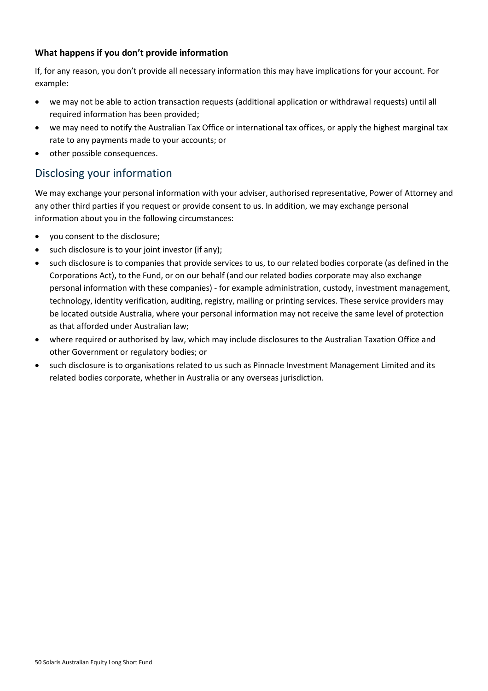### **What happens if you don't provide information**

If, for any reason, you don't provide all necessary information this may have implications for your account. For example:

- we may not be able to action transaction requests (additional application or withdrawal requests) until all required information has been provided;
- we may need to notify the Australian Tax Office or international tax offices, or apply the highest marginal tax rate to any payments made to your accounts; or
- other possible consequences.

## Disclosing your information

We may exchange your personal information with your adviser, authorised representative, Power of Attorney and any other third parties if you request or provide consent to us. In addition, we may exchange personal information about you in the following circumstances:

- you consent to the disclosure;
- such disclosure is to your joint investor (if any);
- such disclosure is to companies that provide services to us, to our related bodies corporate (as defined in the Corporations Act), to the Fund, or on our behalf (and our related bodies corporate may also exchange personal information with these companies) - for example administration, custody, investment management, technology, identity verification, auditing, registry, mailing or printing services. These service providers may be located outside Australia, where your personal information may not receive the same level of protection as that afforded under Australian law;
- where required or authorised by law, which may include disclosures to the Australian Taxation Office and other Government or regulatory bodies; or
- such disclosure is to organisations related to us such as Pinnacle Investment Management Limited and its related bodies corporate, whether in Australia or any overseas jurisdiction.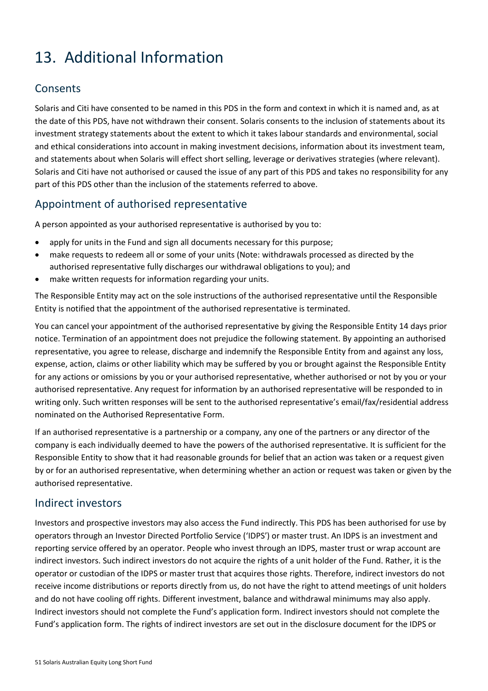# <span id="page-53-0"></span>13. Additional Information

# Consents

Solaris and Citi have consented to be named in this PDS in the form and context in which it is named and, as at the date of this PDS, have not withdrawn their consent. Solaris consents to the inclusion of statements about its investment strategy statements about the extent to which it takes labour standards and environmental, social and ethical considerations into account in making investment decisions, information about its investment team, and statements about when Solaris will effect short selling, leverage or derivatives strategies (where relevant). Solaris and Citi have not authorised or caused the issue of any part of this PDS and takes no responsibility for any part of this PDS other than the inclusion of the statements referred to above.

## Appointment of authorised representative

A person appointed as your authorised representative is authorised by you to:

- apply for units in the Fund and sign all documents necessary for this purpose;
- make requests to redeem all or some of your units (Note: withdrawals processed as directed by the authorised representative fully discharges our withdrawal obligations to you); and
- make written requests for information regarding your units.

The Responsible Entity may act on the sole instructions of the authorised representative until the Responsible Entity is notified that the appointment of the authorised representative is terminated.

You can cancel your appointment of the authorised representative by giving the Responsible Entity 14 days prior notice. Termination of an appointment does not prejudice the following statement. By appointing an authorised representative, you agree to release, discharge and indemnify the Responsible Entity from and against any loss, expense, action, claims or other liability which may be suffered by you or brought against the Responsible Entity for any actions or omissions by you or your authorised representative, whether authorised or not by you or your authorised representative. Any request for information by an authorised representative will be responded to in writing only. Such written responses will be sent to the authorised representative's email/fax/residential address nominated on the Authorised Representative Form.

If an authorised representative is a partnership or a company, any one of the partners or any director of the company is each individually deemed to have the powers of the authorised representative. It is sufficient for the Responsible Entity to show that it had reasonable grounds for belief that an action was taken or a request given by or for an authorised representative, when determining whether an action or request was taken or given by the authorised representative.

# Indirect investors

Investors and prospective investors may also access the Fund indirectly. This PDS has been authorised for use by operators through an Investor Directed Portfolio Service ('IDPS') or master trust. An IDPS is an investment and reporting service offered by an operator. People who invest through an IDPS, master trust or wrap account are indirect investors. Such indirect investors do not acquire the rights of a unit holder of the Fund. Rather, it is the operator or custodian of the IDPS or master trust that acquires those rights. Therefore, indirect investors do not receive income distributions or reports directly from us, do not have the right to attend meetings of unit holders and do not have cooling off rights. Different investment, balance and withdrawal minimums may also apply. Indirect investors should not complete the Fund's application form. Indirect investors should not complete the Fund's application form. The rights of indirect investors are set out in the disclosure document for the IDPS or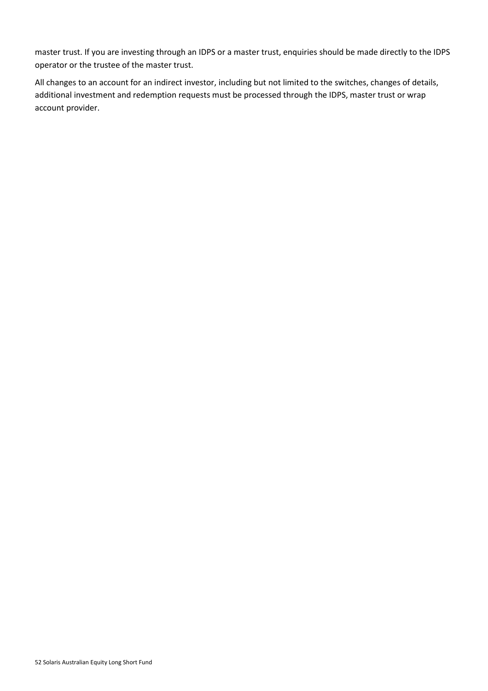master trust. If you are investing through an IDPS or a master trust, enquiries should be made directly to the IDPS operator or the trustee of the master trust.

All changes to an account for an indirect investor, including but not limited to the switches, changes of details, additional investment and redemption requests must be processed through the IDPS, master trust or wrap account provider.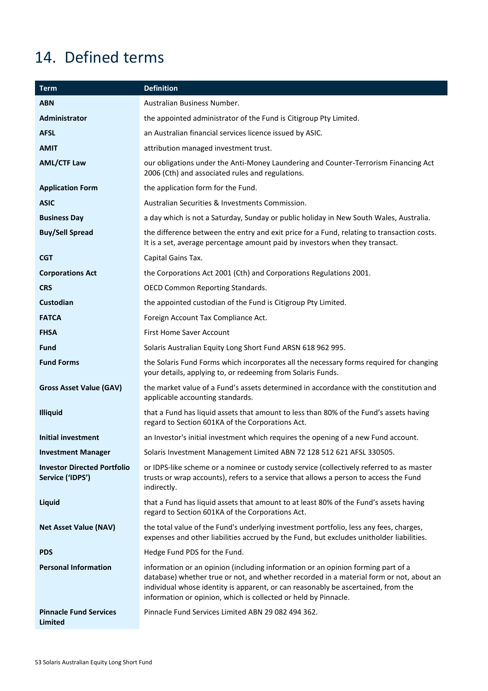# <span id="page-55-0"></span>14. Defined terms

| <b>Term</b>                                            | <b>Definition</b>                                                                                                                                                                                                                                                                                                                   |
|--------------------------------------------------------|-------------------------------------------------------------------------------------------------------------------------------------------------------------------------------------------------------------------------------------------------------------------------------------------------------------------------------------|
| <b>ABN</b>                                             | Australian Business Number.                                                                                                                                                                                                                                                                                                         |
| Administrator                                          | the appointed administrator of the Fund is Citigroup Pty Limited.                                                                                                                                                                                                                                                                   |
| <b>AFSL</b>                                            | an Australian financial services licence issued by ASIC.                                                                                                                                                                                                                                                                            |
| <b>AMIT</b>                                            | attribution managed investment trust.                                                                                                                                                                                                                                                                                               |
| <b>AML/CTF Law</b>                                     | our obligations under the Anti-Money Laundering and Counter-Terrorism Financing Act<br>2006 (Cth) and associated rules and regulations.                                                                                                                                                                                             |
| <b>Application Form</b>                                | the application form for the Fund.                                                                                                                                                                                                                                                                                                  |
| <b>ASIC</b>                                            | Australian Securities & Investments Commission.                                                                                                                                                                                                                                                                                     |
| <b>Business Day</b>                                    | a day which is not a Saturday, Sunday or public holiday in New South Wales, Australia.                                                                                                                                                                                                                                              |
| <b>Buy/Sell Spread</b>                                 | the difference between the entry and exit price for a Fund, relating to transaction costs.<br>It is a set, average percentage amount paid by investors when they transact.                                                                                                                                                          |
| <b>CGT</b>                                             | Capital Gains Tax.                                                                                                                                                                                                                                                                                                                  |
| <b>Corporations Act</b>                                | the Corporations Act 2001 (Cth) and Corporations Regulations 2001.                                                                                                                                                                                                                                                                  |
| <b>CRS</b>                                             | <b>OECD Common Reporting Standards.</b>                                                                                                                                                                                                                                                                                             |
| Custodian                                              | the appointed custodian of the Fund is Citigroup Pty Limited.                                                                                                                                                                                                                                                                       |
| <b>FATCA</b>                                           | Foreign Account Tax Compliance Act.                                                                                                                                                                                                                                                                                                 |
| <b>FHSA</b>                                            | First Home Saver Account                                                                                                                                                                                                                                                                                                            |
| <b>Fund</b>                                            | Solaris Australian Equity Long Short Fund ARSN 618 962 995.                                                                                                                                                                                                                                                                         |
| <b>Fund Forms</b>                                      | the Solaris Fund Forms which incorporates all the necessary forms required for changing<br>your details, applying to, or redeeming from Solaris Funds.                                                                                                                                                                              |
| <b>Gross Asset Value (GAV)</b>                         | the market value of a Fund's assets determined in accordance with the constitution and<br>applicable accounting standards.                                                                                                                                                                                                          |
| <b>Illiquid</b>                                        | that a Fund has liquid assets that amount to less than 80% of the Fund's assets having<br>regard to Section 601KA of the Corporations Act.                                                                                                                                                                                          |
| <b>Initial investment</b>                              | an Investor's initial investment which requires the opening of a new Fund account.                                                                                                                                                                                                                                                  |
| <b>Investment Manager</b>                              | Solaris Investment Management Limited ABN 72 128 512 621 AFSL 330505.                                                                                                                                                                                                                                                               |
| <b>Investor Directed Portfolio</b><br>Service ('IDPS') | or IDPS-like scheme or a nominee or custody service (collectively referred to as master<br>trusts or wrap accounts), refers to a service that allows a person to access the Fund<br>indirectly.                                                                                                                                     |
| Liquid                                                 | that a Fund has liquid assets that amount to at least 80% of the Fund's assets having<br>regard to Section 601KA of the Corporations Act.                                                                                                                                                                                           |
| <b>Net Asset Value (NAV)</b>                           | the total value of the Fund's underlying investment portfolio, less any fees, charges,<br>expenses and other liabilities accrued by the Fund, but excludes unitholder liabilities.                                                                                                                                                  |
| <b>PDS</b>                                             | Hedge Fund PDS for the Fund.                                                                                                                                                                                                                                                                                                        |
| <b>Personal Information</b>                            | information or an opinion (including information or an opinion forming part of a<br>database) whether true or not, and whether recorded in a material form or not, about an<br>individual whose identity is apparent, or can reasonably be ascertained, from the<br>information or opinion, which is collected or held by Pinnacle. |
| <b>Pinnacle Fund Services</b><br><b>Limited</b>        | Pinnacle Fund Services Limited ABN 29 082 494 362.                                                                                                                                                                                                                                                                                  |